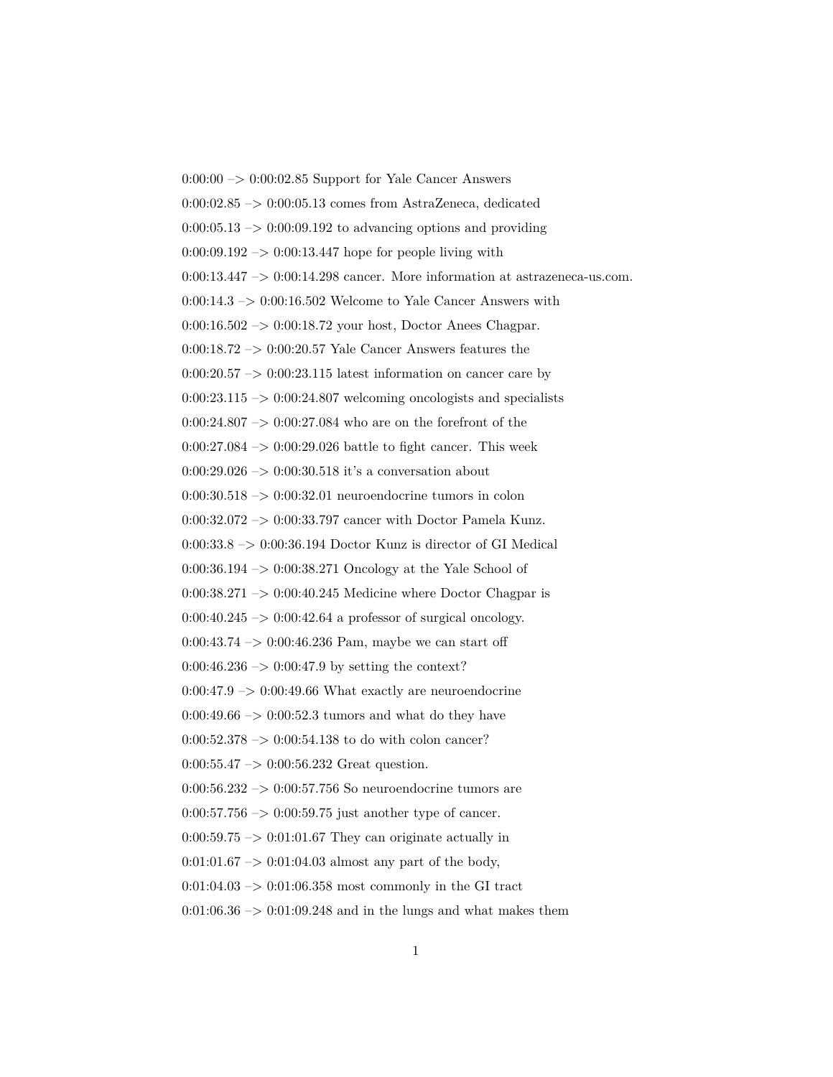$0:00:00 \rightarrow 0:00:02.85$  Support for Yale Cancer Answers 0:00:02.85 –> 0:00:05.13 comes from AstraZeneca, dedicated  $0:00:05.13 \rightarrow 0:00:09.192$  to advancing options and providing  $0:00:09.192 \rightarrow 0:00:13.447$  hope for people living with 0:00:13.447 –> 0:00:14.298 cancer. More information at astrazeneca-us.com.  $0:00:14.3 \rightarrow 0:00:16.502$  Welcome to Yale Cancer Answers with 0:00:16.502 –> 0:00:18.72 your host, Doctor Anees Chagpar. 0:00:18.72 –> 0:00:20.57 Yale Cancer Answers features the  $0:00:20.57 \rightarrow 0:00:23.115$  latest information on cancer care by  $0:00:23.115 \rightarrow 0:00:24.807$  welcoming oncologists and specialists 0:00:24.807 –> 0:00:27.084 who are on the forefront of the  $0:00:27.084 \rightarrow 0:00:29.026$  battle to fight cancer. This week 0:00:29.026  $\rightarrow$  0:00:30.518 it's a conversation about  $0:00:30.518 \rightarrow 0:00:32.01$  neuroendocrine tumors in colon 0:00:32.072 –> 0:00:33.797 cancer with Doctor Pamela Kunz.  $0:00:33.8\ensuremath{\rightarrow} 0:00:36.194$  Doctor Kunz is director of GI Medical 0:00:36.194 –> 0:00:38.271 Oncology at the Yale School of  $0:00:38.271 \rightarrow 0:00:40.245$  Medicine where Doctor Chagpar is  $0:00:40.245 \rightarrow 0:00:42.64$  a professor of surgical oncology. 0:00:43.74  $\rightarrow$  0:00:46.236 Pam, maybe we can start off  $0:00:46.236 \rightarrow 0:00:47.9$  by setting the context?  $0:00:47.9 \rightarrow 0:00:49.66$  What exactly are neuroendocrine  $0:00:49.66 \rightarrow 0:00:52.3 \text{ tumors and what do they have}$  $0:00:52.378 \rightarrow 0:00:54.138$  to do with colon cancer?  $0:00:55.47 \rightarrow 0:00:56.232$  Great question. 0:00:56.232 –> 0:00:57.756 So neuroendocrine tumors are  $0:00:57.756 \rightarrow 0:00:59.75$  just another type of cancer.  $0:00:59.75 \rightarrow 0:01:01.67$  They can originate actually in  $0:01:01.67 \rightarrow 0:01:04.03$  almost any part of the body,  $0:01:04.03 \rightarrow 0:01:06.358$  most commonly in the GI tract  $0:01:06.36 \rightarrow 0:01:09.248$  and in the lungs and what makes them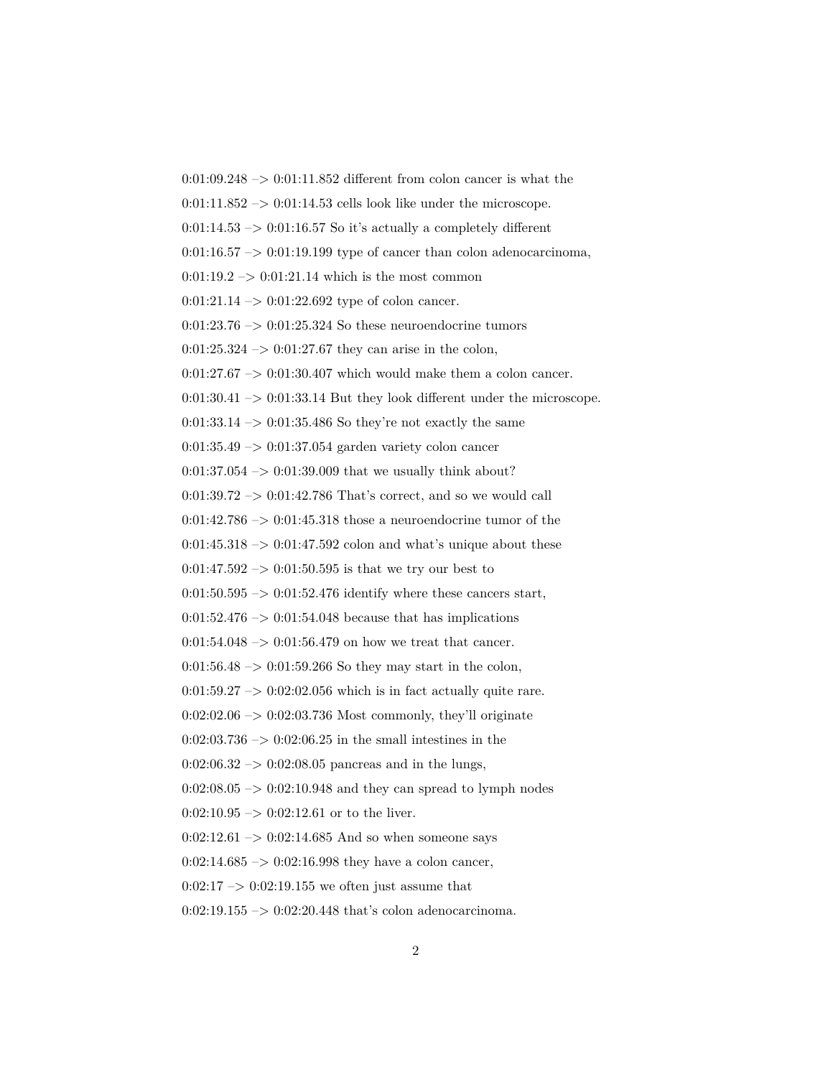$0:01:09.248 \rightarrow 0:01:11.852$  different from colon cancer is what the  $0:01:11.852 \rightarrow 0:01:14.53$  cells look like under the microscope.  $0:01:14.53 \rightarrow 0:01:16.57$  So it's actually a completely different  $0:01:16.57 \rightarrow 0:01:19.199$  type of cancer than colon adenocarcinoma,  $0:01:19.2 \rightarrow 0:01:21.14$  which is the most common  $0:01:21.14 \rightarrow 0:01:22.692$  type of colon cancer.  $0:01:23.76 \rightarrow 0:01:25.324$  So these neuroendocrine tumors  $0:01:25.324 \rightarrow 0:01:27.67$  they can arise in the colon,  $0:01:27.67 \rightarrow 0:01:30.407$  which would make them a colon cancer.  $0:01:30.41 \rightarrow 0:01:33.14$  But they look different under the microscope.  $0:01:33.14 \rightarrow 0:01:35.486$  So they're not exactly the same 0:01:35.49 –> 0:01:37.054 garden variety colon cancer  $0:01:37.054 \rightarrow 0:01:39.009$  that we usually think about?  $0:01:39.72 \rightarrow 0:01:42.786$  That's correct, and so we would call 0:01:42.786  $\Rightarrow$  0:01:45.318 those a neuroendocrine tumor of the  $0:01:45.318 \rightarrow 0:01:47.592$  colon and what's unique about these  $0:01:47.592 \rightarrow 0:01:50.595$  is that we try our best to  $0:01:50.595 \rightarrow 0:01:52.476$  identify where these cancers start,  $0:01:52.476 \rightarrow 0:01:54.048$  because that has implications  $0:01:54.048 \rightarrow 0:01:56.479$  on how we treat that cancer.  $0:01:56.48 \rightarrow 0:01:59.266$  So they may start in the colon,  $0:01:59.27 \rightarrow 0:02:02.056$  which is in fact actually quite rare. 0:02:02.06 –> 0:02:03.736 Most commonly, they'll originate  $0:02:03.736 \rightarrow 0:02:06.25$  in the small intestines in the  $0:02:06.32 \rightarrow 0:02:08.05$  pancreas and in the lungs,  $0:02:08.05 \rightarrow 0:02:10.948$  and they can spread to lymph nodes  $0:02:10.95 \rightarrow 0:02:12.61$  or to the liver.  $0:02:12.61 \rightarrow 0:02:14.685$  And so when someone says  $0:02:14.685 \rightarrow 0:02:16.998$  they have a colon cancer,  $0:02:17 \rightarrow 0:02:19.155$  we often just assume that  $0:02:19.155 \rightarrow 0:02:20.448$  that's colon adenocarcinoma.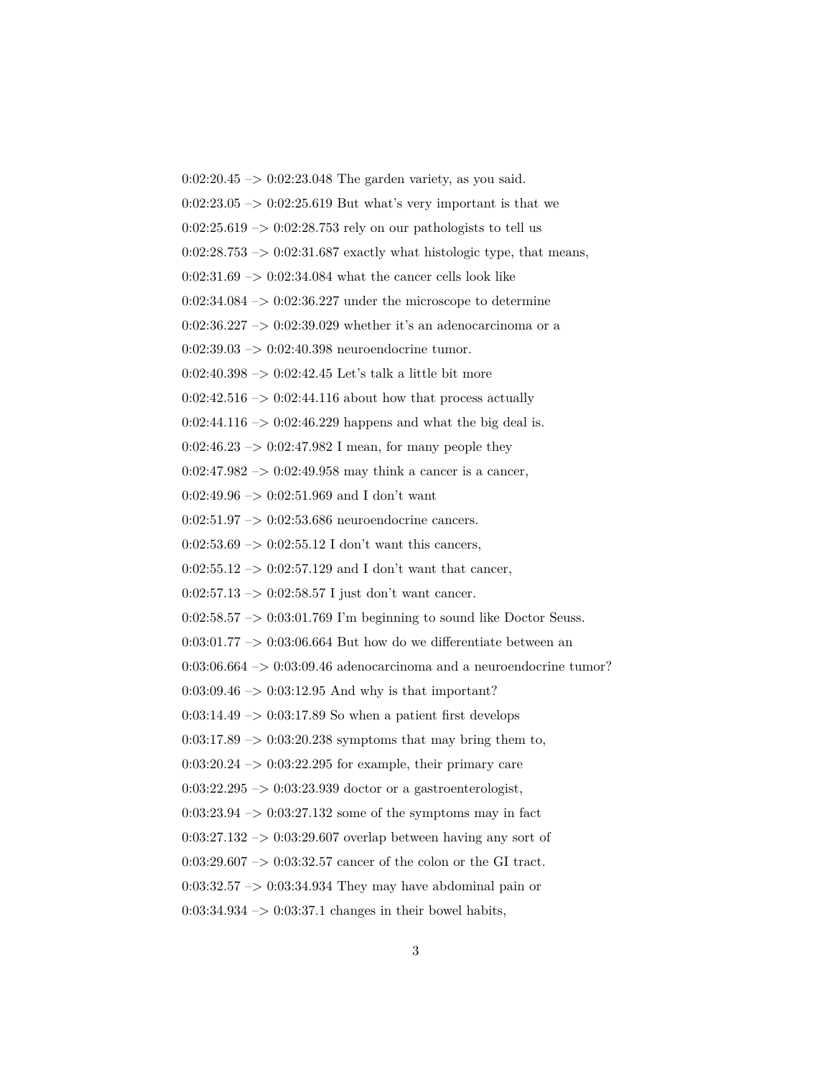$0:02:20.45 \rightarrow 0:02:23.048$  The garden variety, as you said.  $0:02:23.05 \rightarrow 0:02:25.619$  But what's very important is that we  $0:02:25.619 \rightarrow 0:02:28.753$  rely on our pathologists to tell us  $0:02:28.753 \rightarrow 0:02:31.687$  exactly what histologic type, that means,  $0:02:31.69 \rightarrow 0:02:34.084$  what the cancer cells look like  $0:02:34.084 \rightarrow 0:02:36.227$  under the microscope to determine  $0:02:36.227 \rightarrow 0:02:39.029$  whether it's an adenocarcinoma or a 0:02:39.03 –> 0:02:40.398 neuroendocrine tumor. 0:02:40.398  $\rightarrow$  0:02:42.45 Let's talk a little bit more  $0:02:42.516 \rightarrow 0:02:44.116$  about how that process actually  $0:02:44.116 \rightarrow 0:02:46.229$  happens and what the big deal is.  $0:02:46.23 \rightarrow 0:02:47.982$  I mean, for many people they  $0:02:47.982 \rightarrow 0:02:49.958$  may think a cancer is a cancer,  $0:02:49.96 \rightarrow 0:02:51.969$  and I don't want 0:02:51.97 –> 0:02:53.686 neuroendocrine cancers.  $0:02:53.69 \rightarrow 0:02:55.12$  I don't want this cancers, 0:02:55.12  $\rightarrow$  0:02:57.129 and I don't want that cancer, 0:02:57.13  $\rightarrow$  0:02:58.57 I just don't want cancer.  $0:02:58.57 \rightarrow 0:03:01.769$  I'm beginning to sound like Doctor Seuss.  $0:03:01.77 \rightarrow 0:03:06.664$  But how do we differentiate between an  $0:03:06.664 \rightarrow 0:03:09.46$  adenocarcinoma and a neuroendocrine tumor?  $0:03:09.46 \rightarrow 0:03:12.95$  And why is that important?  $0:03:14.49 \rightarrow 0:03:17.89$  So when a patient first develops  $0:03:17.89 \rightarrow 0:03:20.238$  symptoms that may bring them to,  $0:03:20.24 \rightarrow 0:03:22.295$  for example, their primary care  $0:03:22.295 \rightarrow 0:03:23.939$  doctor or a gastroenterologist,  $0:03:23.94 \rightarrow 0:03:27.132$  some of the symptoms may in fact  $0:03:27.132 \rightarrow 0:03:29.607$  overlap between having any sort of  $0:03:29.607 \rightarrow 0:03:32.57$  cancer of the colon or the GI tract. 0:03:32.57 –> 0:03:34.934 They may have abdominal pain or  $0:03:34.934 \rightarrow 0:03:37.1$  changes in their bowel habits,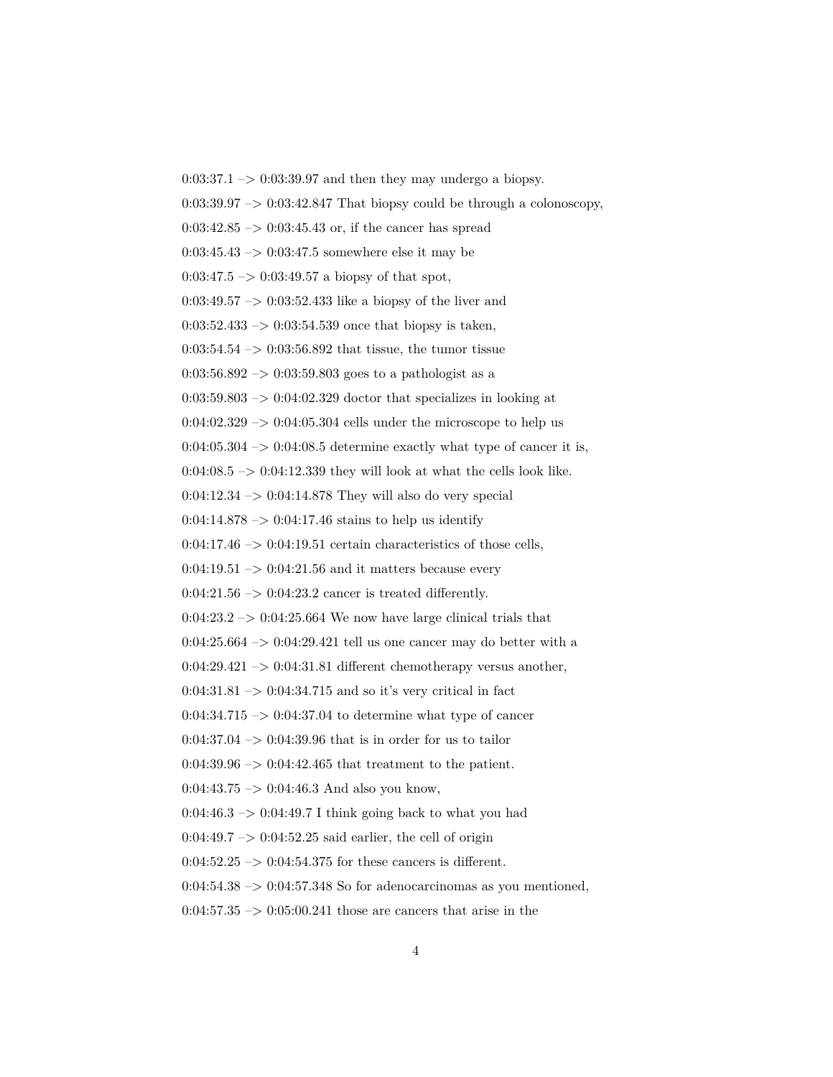$0:03:37.1 \rightarrow 0:03:39.97$  and then they may undergo a biopsy.  $0:03:39.97 \rightarrow 0:03:42.847$  That biopsy could be through a colonoscopy,  $0:03:42.85 \rightarrow 0:03:45.43$  or, if the cancer has spread  $0:03:45.43 \rightarrow 0:03:47.5$  somewhere else it may be  $0:03:47.5 \rightarrow 0:03:49.57$  a biopsy of that spot, 0:03:49.57  $\rightarrow$  0:03:52.433 like a biopsy of the liver and  $0:03:52.433 \rightarrow 0:03:54.539$  once that biopsy is taken,  $0:03:54.54 \rightarrow 0:03:56.892$  that tissue, the tumor tissue  $0.03:56.892 \rightarrow 0.03:59.803$  goes to a pathologist as a  $0:03:59.803 \rightarrow 0:04:02.329$  doctor that specializes in looking at  $0:04:02.329 \rightarrow 0:04:05.304$  cells under the microscope to help us  $0:04:05.304 \rightarrow 0:04:08.5$  determine exactly what type of cancer it is,  $0:04:08.5 \rightarrow 0:04:12.339$  they will look at what the cells look like.  $0:04:12.34 \rightarrow 0:04:14.878$  They will also do very special  $0:04:14.878 \rightarrow 0:04:17.46$  stains to help us identify  $0:04:17.46 \rightarrow 0:04:19.51$  certain characteristics of those cells,  $0:04:19.51 \rightarrow 0:04:21.56$  and it matters because every  $0:04:21.56 \rightarrow 0:04:23.2$  cancer is treated differently.  $0:04:23.2 \rightarrow 0:04:25.664$  We now have large clinical trials that  $0:04:25.664 \rightarrow 0:04:29.421$  tell us one cancer may do better with a  $0:04:29.421 \rightarrow 0:04:31.81$  different chemotherapy versus another,  $0:04:31.81 \rightarrow 0:04:34.715$  and so it's very critical in fact  $0:04:34.715 \rightarrow 0:04:37.04$  to determine what type of cancer  $0:04:37.04 \rightarrow 0:04:39.96$  that is in order for us to tailor  $0:04:39.96 \rightarrow 0:04:42.465$  that treatment to the patient.  $0:04:43.75 \rightarrow 0:04:46.3$  And also you know,  $0:04:46.3 \rightarrow 0:04:49.7$  I think going back to what you had  $0:04:49.7 \rightarrow 0:04:52.25$  said earlier, the cell of origin  $0:04:52.25 \rightarrow 0:04:54.375$  for these cancers is different.  $0:04:54.38 \rightarrow 0:04:57.348$  So for adenocarcinomas as you mentioned,  $0:04:57.35 \rightarrow 0:05:00.241$  those are cancers that arise in the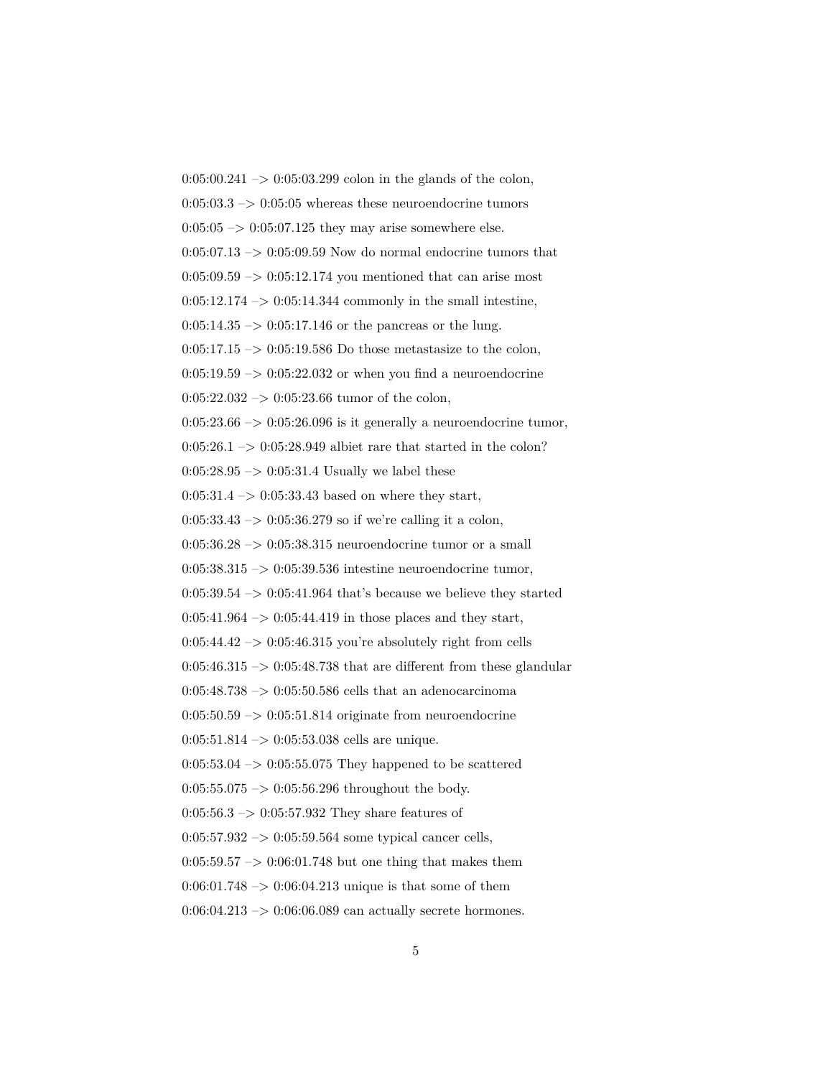$0:05:00.241 \rightarrow 0:05:03.299$  colon in the glands of the colon,  $0:05:03.3 \rightarrow 0:05:05$  whereas these neuroendocrine tumors  $0:05:05 \rightarrow 0:05:07.125$  they may arise somewhere else.  $0:05:07.13 \rightarrow 0:05:09.59$  Now do normal endocrine tumors that  $0:05:09.59 \rightarrow 0:05:12.174$  you mentioned that can arise most  $0:05:12.174 \rightarrow 0:05:14.344$  commonly in the small intestine,  $0:05:14.35 \rightarrow 0:05:17.146$  or the pancreas or the lung.  $0:05:17.15 \rightarrow 0:05:19.586$  Do those metastasize to the colon,  $0:05:19.59 \rightarrow 0:05:22.032$  or when you find a neuroendocrine  $0:05:22.032 \rightarrow 0:05:23.66$  tumor of the colon,  $0:05:23.66 \rightarrow 0:05:26.096$  is it generally a neuroendocrine tumor,  $0:05:26.1 \rightarrow 0:05:28.949$  albiet rare that started in the colon?  $0:05:28.95 \rightarrow 0:05:31.4$  Usually we label these  $0:05:31.4 \rightarrow 0:05:33.43$  based on where they start, 0:05:33.43  $\rightarrow$  0:05:36.279 so if we're calling it a colon,  $0:05:36.28 \rightarrow 0:05:38.315$  neuroendocrine tumor or a small 0:05:38.315 –> 0:05:39.536 intestine neuroendocrine tumor,  $0:05:39.54 \rightarrow 0:05:41.964$  that's because we believe they started  $0:05:41.964 \rightarrow 0:05:44.419$  in those places and they start,  $0:05:44.42 \rightarrow 0:05:46.315$  you're absolutely right from cells  $0:05:46.315 \rightarrow 0:05:48.738$  that are different from these glandular 0:05:48.738  $\rightarrow$  0:05:50.586 cells that an adenocarcinoma  $0:05:50.59 \rightarrow 0:05:51.814$  originate from neuroendocrine  $0:05:51.814 \rightarrow 0:05:53.038$  cells are unique.  $0:05:53.04 \rightarrow 0:05:55.075$  They happened to be scattered  $0:05:55.075 \rightarrow 0:05:56.296$  throughout the body.  $0:05:56.3 \rightarrow 0:05:57.932$  They share features of  $0:05:57.932 \rightarrow 0:05:59.564$  some typical cancer cells,  $0:05:59.57 \rightarrow 0:06:01.748$  but one thing that makes them  $0:06:01.748 \rightarrow 0:06:04.213$  unique is that some of them 0:06:04.213 –> 0:06:06.089 can actually secrete hormones.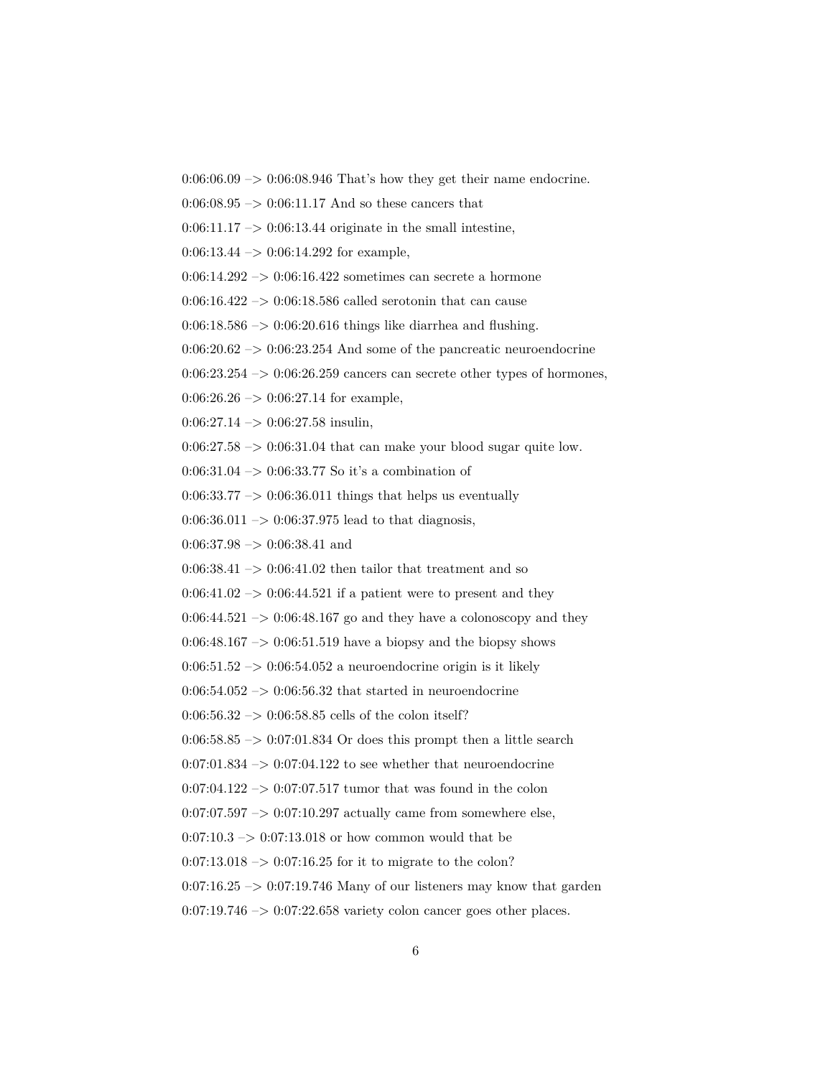$0:06:06.09 \rightarrow 0:06:08.946$  That's how they get their name endocrine.

 $0:06:08.95 \rightarrow 0:06:11.17$  And so these cancers that

 $0:06:11.17 \rightarrow 0:06:13.44$  originate in the small intestine,

 $0:06:13.44 \rightarrow 0:06:14.292$  for example,

 $0:06:14.292 \rightarrow 0:06:16.422$  sometimes can secrete a hormone

0:06:16.422  $\rightarrow$  0:06:18.586 called serotonin that can cause

 $0.06:18.586 \rightarrow 0.06:20.616$  things like diarrhea and flushing.

 $0:06:20.62 \rightarrow 0:06:23.254$  And some of the pancreatic neuroendocrine

 $0:06:23.254 \rightarrow 0:06:26.259$  cancers can secrete other types of hormones,

 $0:06:26.26 \rightarrow 0:06:27.14$  for example,

 $0:06:27.14 \rightarrow 0:06:27.58$  insulin,

 $0:06:27.58 \rightarrow 0:06:31.04$  that can make your blood sugar quite low.

0:06:31.04 –> 0:06:33.77 So it's a combination of

 $0:06:33.77 \rightarrow 0:06:36.011$  things that helps us eventually

 $0:06:36.011 \rightarrow 0:06:37.975$  lead to that diagnosis,

 $0:06:37.98 \rightarrow 0:06:38.41$  and

 $0:06:38.41 \rightarrow 0:06:41.02$  then tailor that treatment and so

 $0:06:41.02 \rightarrow 0:06:44.521$  if a patient were to present and they

 $0:06:44.521 \rightarrow 0:06:48.167$  go and they have a colonoscopy and they

 $0:06:48.167 \rightarrow 0:06:51.519$  have a biopsy and the biopsy shows

 $0.06:51.52 \rightarrow 0.06:54.052$  a neuroendocrine origin is it likely

 $0:06:54.052 \rightarrow 0:06:56.32$  that started in neuroendocrine

 $0:06:56.32 \rightarrow 0:06:58.85$  cells of the colon itself?

 $0.06:58.85 \rightarrow 0.07:01.834$  Or does this prompt then a little search

 $0:07:01.834 \rightarrow 0:07:04.122$  to see whether that neuroendocrine

 $0:07:04.122 \rightarrow 0:07:07.517$  tumor that was found in the colon

 $0:07:07.597 \rightarrow 0:07:10.297$  actually came from somewhere else,

 $0:07:10.3 \rightarrow 0:07:13.018$  or how common would that be

 $0:07:13.018 \rightarrow 0:07:16.25$  for it to migrate to the colon?

 $0.07:16.25 \rightarrow 0.07:19.746$  Many of our listeners may know that garden

 $0.07:19.746 \rightarrow 0.07:22.658$  variety colon cancer goes other places.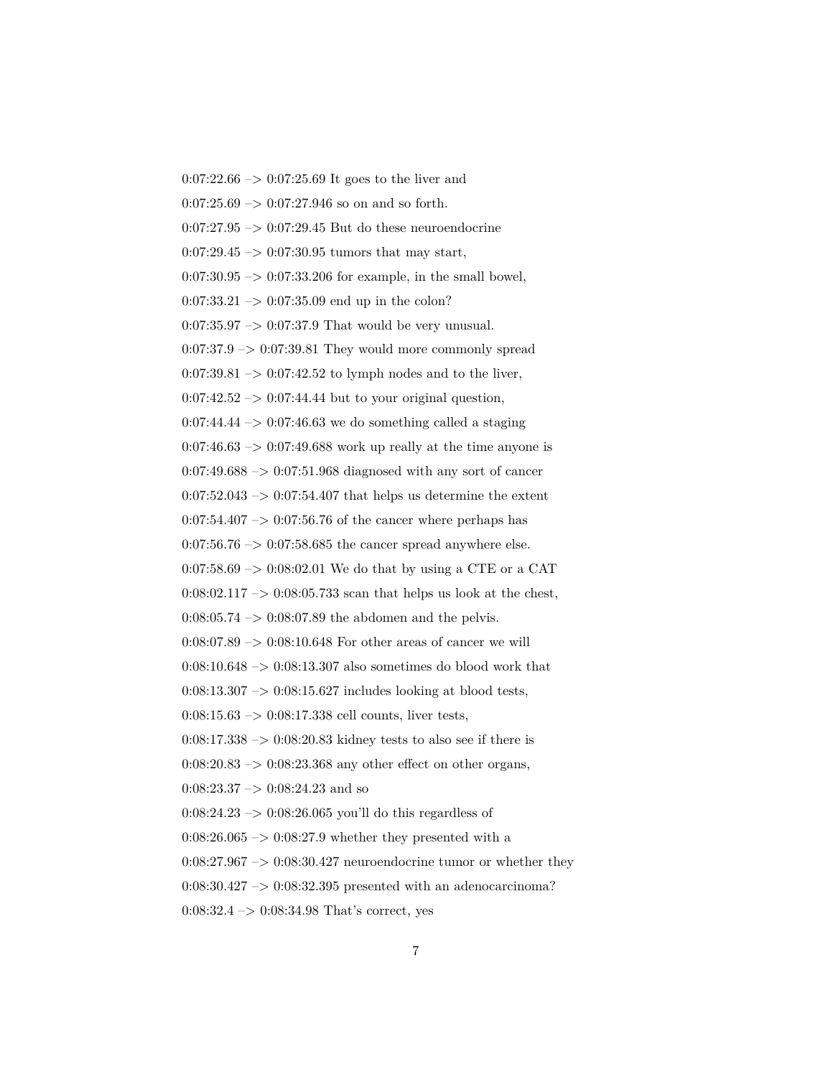$0:07:22.66 \rightarrow 0:07:25.69$  It goes to the liver and  $0:07:25.69 \rightarrow 0:07:27.946$  so on and so forth.  $0:07:27.95 \rightarrow 0:07:29.45$  But do these neuroendocrine  $0:07:29.45 \rightarrow 0:07:30.95$  tumors that may start,  $0:07:30.95 \rightarrow 0:07:33.206$  for example, in the small bowel,  $0:07:33.21 \rightarrow 0:07:35.09$  end up in the colon?  $0:07:35.97 \rightarrow 0:07:37.9$  That would be very unusual.  $0:07:37.9 \rightarrow 0:07:39.81$  They would more commonly spread  $0:07:39.81 \rightarrow 0:07:42.52$  to lymph nodes and to the liver,  $0:07:42.52 \rightarrow 0:07:44.44$  but to your original question,  $0.07:44.44 \rightarrow 0.07:46.63$  we do something called a staging  $0:07:46.63 \rightarrow 0:07:49.688$  work up really at the time anyone is  $0:07:49.688 \rightarrow 0:07:51.968$  diagnosed with any sort of cancer  $0:07:52.043 \rightarrow 0:07:54.407$  that helps us determine the extent  $0:07:54.407 \rightarrow 0:07:56.76$  of the cancer where perhaps has 0:07:56.76  $\rightarrow$  0:07:58.685 the cancer spread anywhere else.  $0:07:58.69 \rightarrow 0:08:02.01$  We do that by using a CTE or a CAT 0:08:02.117  $\rightarrow$  0:08:05.733 scan that helps us look at the chest,  $0:08:05.74 \rightarrow 0:08:07.89$  the abdomen and the pelvis.  $0.08:07.89 \rightarrow 0.08:10.648$  For other areas of cancer we will 0:08:10.648 –> 0:08:13.307 also sometimes do blood work that  $0.08:13.307 \rightarrow 0.08:15.627$  includes looking at blood tests,  $0:08:15.63 \rightarrow 0:08:17.338$  cell counts, liver tests,  $0:08:17.338 \rightarrow 0:08:20.83$  kidney tests to also see if there is  $0:08:20.83 \rightarrow 0:08:23.368$  any other effect on other organs,  $0:08:23.37 \rightarrow 0:08:24.23$  and so  $0:08:24.23 \rightarrow 0:08:26.065$  you'll do this regardless of  $0:08:26.065 \rightarrow 0:08:27.9$  whether they presented with a  $0:08:27.967 \rightarrow 0:08:30.427$  neuroendocrine tumor or whether they 0:08:30.427 –> 0:08:32.395 presented with an adenocarcinoma?  $0:08:32.4 \rightarrow 0:08:34.98$  That's correct, yes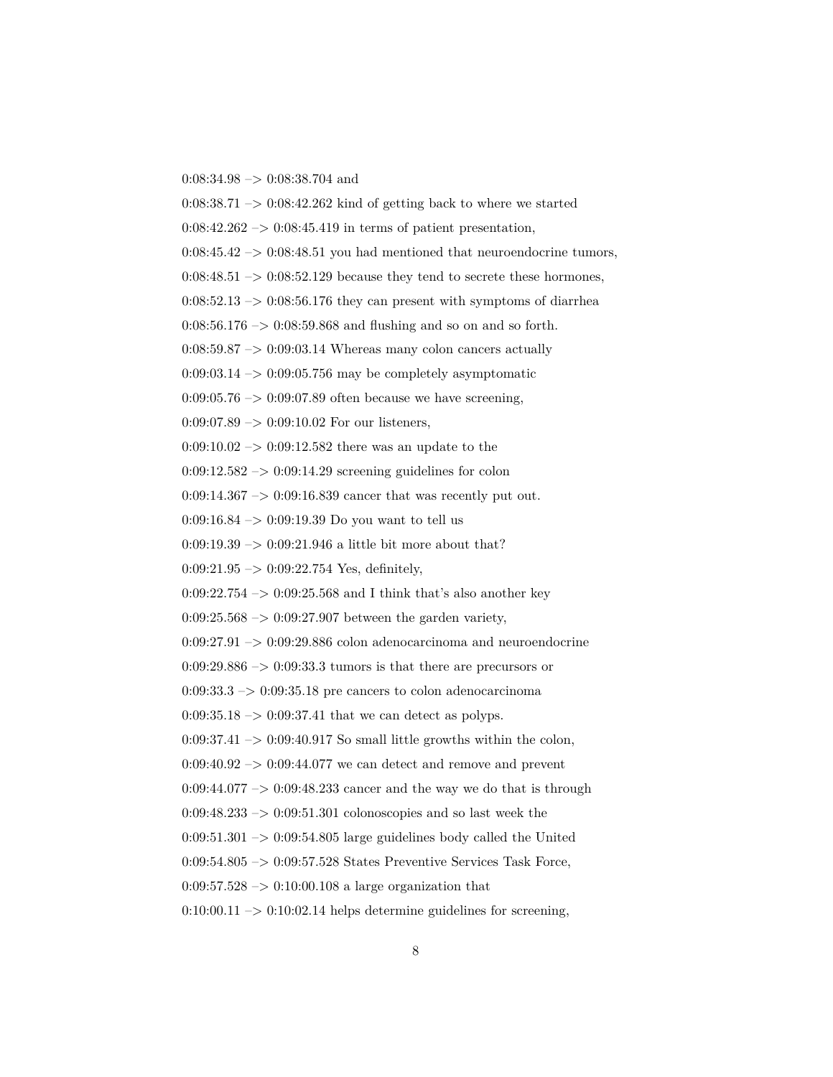$0:08:34.98 \rightarrow 0:08:38.704$  and

 $0:08:38.71 \rightarrow 0:08:42.262$  kind of getting back to where we started  $0:08:42.262 \rightarrow 0:08:45.419$  in terms of patient presentation,  $0:08:45.42 \rightarrow 0:08:48.51$  you had mentioned that neuroendocrine tumors,  $0:08:48.51 \rightarrow 0:08:52.129$  because they tend to secrete these hormones,  $0:08:52.13 \rightarrow 0:08:56.176$  they can present with symptoms of diarrhea  $0:08:56.176 \rightarrow 0:08:59.868$  and flushing and so on and so forth.  $0:08:59.87 \rightarrow 0:09:03.14$  Whereas many colon cancers actually  $0:09:03.14 \rightarrow 0:09:05.756$  may be completely asymptomatic  $0.09:05.76 \rightarrow 0.09:07.89$  often because we have screening,  $0:09:07.89 \rightarrow 0:09:10.02$  For our listeners,  $0.09:10.02 \rightarrow 0.09:12.582$  there was an update to the  $0:09:12.582 \rightarrow 0:09:14.29$  screening guidelines for colon  $0:09:14.367 \rightarrow 0:09:16.839$  cancer that was recently put out. 0:09:16.84 –> 0:09:19.39 Do you want to tell us 0:09:19.39  $\rightarrow$  0:09:21.946 a little bit more about that?  $0:09:21.95 \rightarrow 0:09:22.754$  Yes, definitely,  $0:09:22.754 \rightarrow 0:09:25.568$  and I think that's also another key  $0.09:25.568 \rightarrow 0.09:27.907$  between the garden variety,  $0:09:27.91 \rightarrow 0:09:29.886$  colon adenocarcinoma and neuroendocrine  $0:09:29.886 \rightarrow 0:09:33.3$  tumors is that there are precursors or  $0.09:33.3 \rightarrow 0.09:35.18$  pre cancers to colon adenocarcinoma  $0:09:35.18 \rightarrow 0:09:37.41$  that we can detect as polyps.  $0:09:37.41 \rightarrow 0:09:40.917$  So small little growths within the colon,  $0.09:40.92 \rightarrow 0.09:44.077$  we can detect and remove and prevent  $0:09:44.077 \rightarrow 0:09:48.233$  cancer and the way we do that is through  $0:09:48.233 \rightarrow 0:09:51.301$  colonoscopies and so last week the  $0:09:51.301 \rightarrow 0:09:54.805$  large guidelines body called the United 0:09:54.805 –> 0:09:57.528 States Preventive Services Task Force,  $0.09:57.528 \rightarrow 0.10:00.108$  a large organization that  $0:10:00.11 \rightarrow 0:10:02.14$  helps determine guidelines for screening,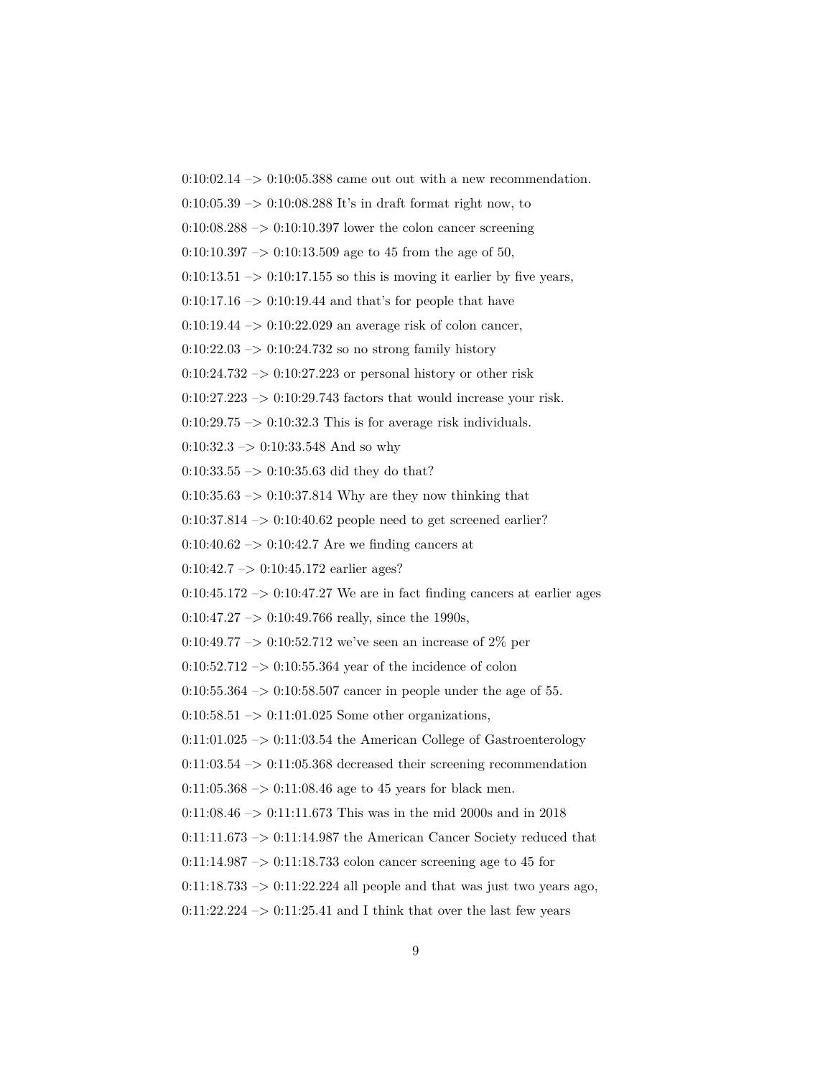$0:10:02.14 \rightarrow 0:10:05.388$  came out out with a new recommendation.

 $0:10:05.39 \rightarrow 0:10:08.288$  It's in draft format right now, to

 $0:10:08.288 \rightarrow 0:10:10.397$  lower the colon cancer screening

 $0:10:10.397 \rightarrow 0:10:13.509$  age to 45 from the age of 50,

 $0:10:13.51 \rightarrow 0:10:17.155$  so this is moving it earlier by five years,

 $0:10:17.16 \rightarrow 0:10:19.44$  and that's for people that have

0:10:19.44 –> 0:10:22.029 an average risk of colon cancer,

 $0:10:22.03 \rightarrow 0:10:24.732$  so no strong family history

 $0:10:24.732 \rightarrow 0:10:27.223$  or personal history or other risk

 $0:10:27.223 \rightarrow 0:10:29.743$  factors that would increase your risk.

 $0:10:29.75 \rightarrow 0:10:32.3$  This is for average risk individuals.

 $0:10:32.3 \rightarrow 0:10:33.548$  And so why

0:10:33.55 –> 0:10:35.63 did they do that?

 $0:10:35.63 \rightarrow 0:10:37.814$  Why are they now thinking that

 $0:10:37.814 \rightarrow 0:10:40.62$  people need to get screened earlier?

 $0:10:40.62 \rightarrow 0:10:42.7$  Are we finding cancers at

 $0:10:42.7 \rightarrow 0:10:45.172$  earlier ages?

 $0:10:45.172 \rightarrow 0:10:47.27$  We are in fact finding cancers at earlier ages

 $0:10:47.27 \rightarrow 0:10:49.766$  really, since the 1990s,

0:10:49.77  $\rightarrow$  0:10:52.712 we've seen an increase of 2% per

 $0:10:52.712 \rightarrow 0:10:55.364$  year of the incidence of colon

0:10:55.364  $\rightarrow$  0:10:58.507 cancer in people under the age of 55.

 $0:10:58.51 \rightarrow 0:11:01.025$  Some other organizations,

 $0:11:01.025 \rightarrow 0:11:03.54$  the American College of Gastroenterology

 $0:11:03.54 \rightarrow 0:11:05.368$  decreased their screening recommendation

 $0:11:05.368 \rightarrow 0:11:08.46$  age to 45 years for black men.

0:11:08.46 –> 0:11:11.673 This was in the mid 2000s and in 2018

 $0:11:11.673 \rightarrow 0:11:14.987$  the American Cancer Society reduced that

 $0:11:14.987 \rightarrow 0:11:18.733$  colon cancer screening age to 45 for

 $0:11:18.733 \rightarrow 0:11:22.224$  all people and that was just two years ago,

 $0:11:22.224 \rightarrow 0:11:25.41$  and I think that over the last few years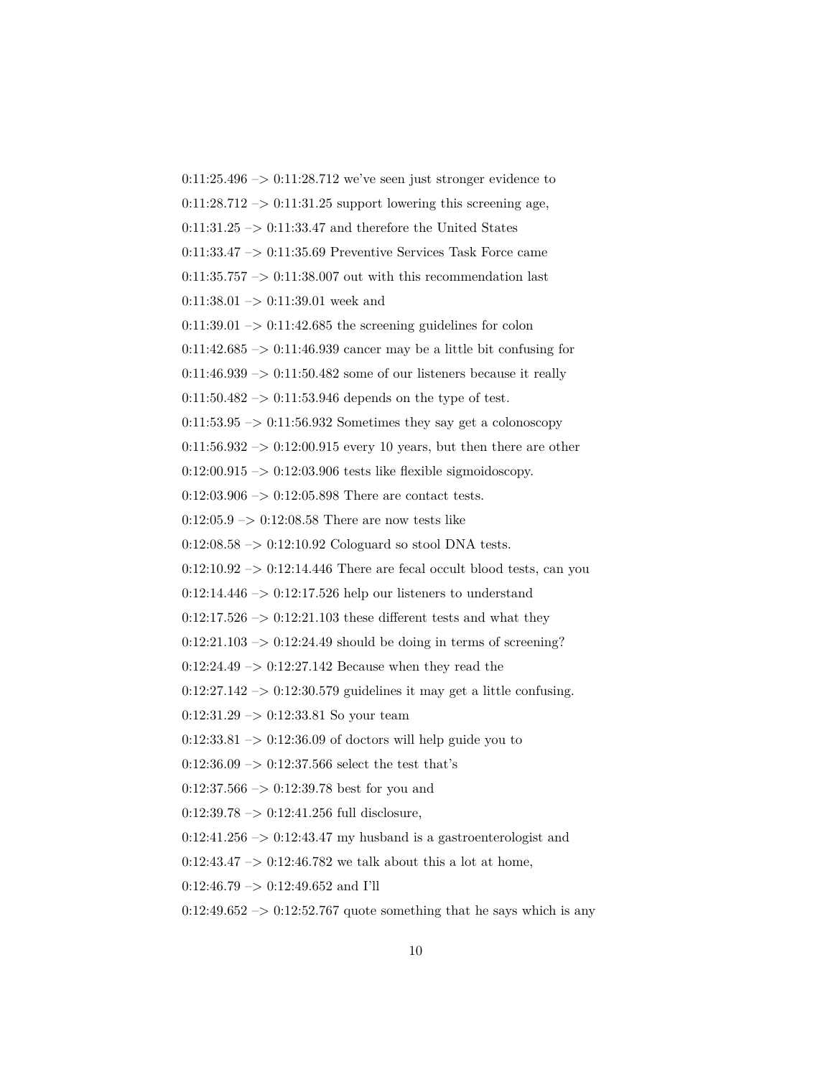$0:11:25.496 \rightarrow 0:11:28.712$  we've seen just stronger evidence to  $0:11:28.712 \rightarrow 0:11:31.25$  support lowering this screening age,  $0:11:31.25 \rightarrow 0:11:33.47$  and therefore the United States  $0:11:33.47 \rightarrow 0:11:35.69$  Preventive Services Task Force came  $0:11:35.757 \rightarrow 0:11:38.007$  out with this recommendation last  $0:11:38.01 \rightarrow 0:11:39.01$  week and  $0:11:39.01 \rightarrow 0:11:42.685$  the screening guidelines for colon  $0:11:42.685 \rightarrow 0:11:46.939$  cancer may be a little bit confusing for  $0:11:46.939 \rightarrow 0:11:50.482$  some of our listeners because it really  $0:11:50.482 \rightarrow 0:11:53.946$  depends on the type of test.  $0:11:53.95 \rightarrow 0:11:56.932$  Sometimes they say get a colonoscopy  $0:11:56.932 \rightarrow 0:12:00.915$  every 10 years, but then there are other  $0:12:00.915 \rightarrow 0:12:03.906$  tests like flexible sigmoidoscopy.  $0:12:03.906 \rightarrow 0:12:05.898$  There are contact tests.  $0:12:05.9 \rightarrow 0:12:08.58$  There are now tests like  $0:12:08.58 \rightarrow 0:12:10.92$  Cologuard so stool DNA tests.  $0:12:10.92 \rightarrow 0:12:14.446$  There are fecal occult blood tests, can you  $0:12:14.446 \rightarrow 0:12:17.526$  help our listeners to understand  $0:12:17.526 \rightarrow 0:12:21.103$  these different tests and what they  $0:12:21.103 \rightarrow 0:12:24.49$  should be doing in terms of screening?  $0:12:24.49 \rightarrow 0:12:27.142$  Because when they read the  $0:12:27.142 \rightarrow 0:12:30.579$  guidelines it may get a little confusing. 0:12:31.29 –> 0:12:33.81 So your team  $0:12:33.81 \rightarrow 0:12:36.09$  of doctors will help guide you to  $0:12:36.09 \rightarrow 0:12:37.566$  select the test that's  $0:12:37.566 \rightarrow 0:12:39.78$  best for you and  $0:12:39.78 \rightarrow 0:12:41.256$  full disclosure,  $0:12:41.256 \rightarrow 0:12:43.47$  my husband is a gastroenterologist and  $0:12:43.47 \rightarrow 0:12:46.782$  we talk about this a lot at home,  $0:12:46.79 \rightarrow 0:12:49.652$  and I'll  $0:12:49.652 \rightarrow 0:12:52.767$  quote something that he says which is any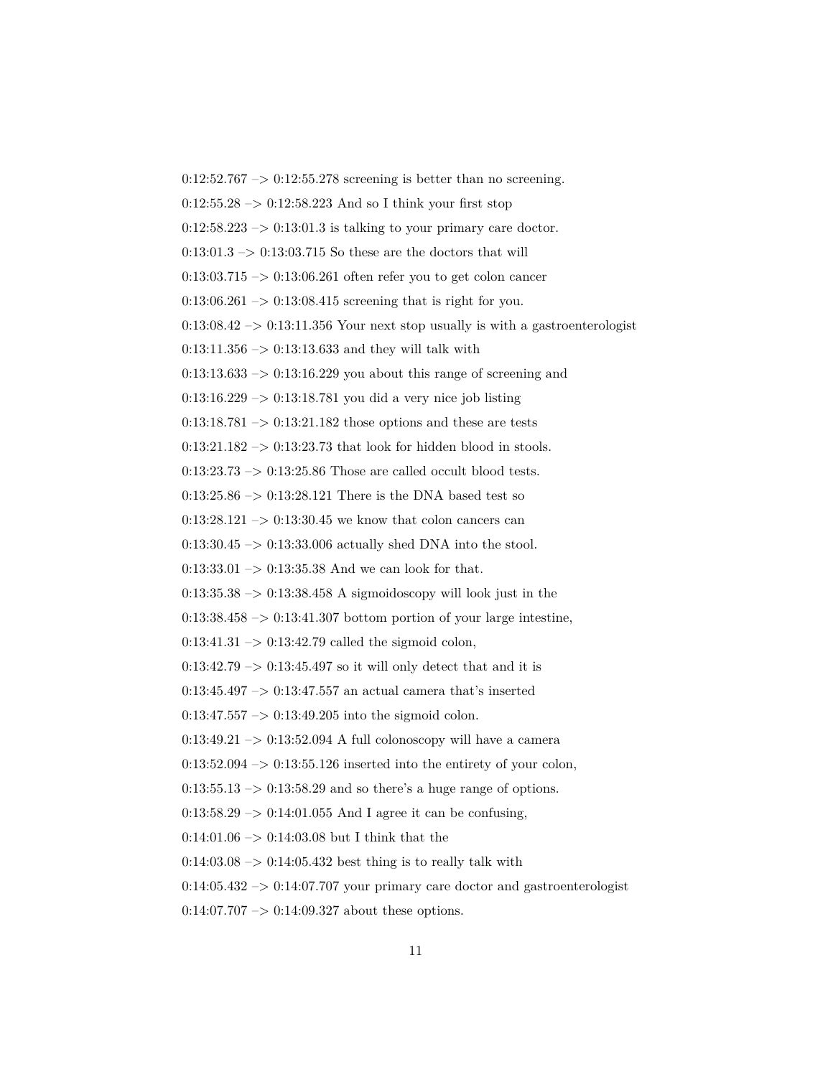$0:12:52.767 \rightarrow 0:12:55.278$  screening is better than no screening.  $0:12:55.28 \rightarrow 0:12:58.223$  And so I think your first stop  $0:12:58.223 \rightarrow 0:13:01.3$  is talking to your primary care doctor.  $0:13:01.3 \rightarrow 0:13:03.715$  So these are the doctors that will  $0:13:03.715 \rightarrow 0:13:06.261$  often refer you to get colon cancer  $0:13:06.261 \rightarrow 0:13:08.415$  screening that is right for you.  $0:13:08.42 \rightarrow 0:13:11.356$  Your next stop usually is with a gastroenterologist  $0:13:11.356 \rightarrow 0:13:13.633$  and they will talk with  $0:13:13.633 \rightarrow 0:13:16.229$  you about this range of screening and 0:13:16.229  $\rightarrow$  0:13:18.781 you did a very nice job listing  $0:13:18.781 \rightarrow 0:13:21.182$  those options and these are tests  $0:13:21.182 \rightarrow 0:13:23.73$  that look for hidden blood in stools.  $0:13:23.73 \rightarrow 0:13:25.86$  Those are called occult blood tests.  $0:13:25.86 \rightarrow 0:13:28.121$  There is the DNA based test so  $0:13:28.121 \rightarrow 0:13:30.45$  we know that colon cancers can  $0:13:30.45 \rightarrow 0:13:33.006$  actually shed DNA into the stool. 0:13:33.01  $\rightarrow$  0:13:35.38 And we can look for that.  $0:13:35.38 \rightarrow 0:13:38.458$  A sigmoidoscopy will look just in the  $0:13:38.458 \rightarrow 0:13:41.307$  bottom portion of your large intestine,  $0:13:41.31 \rightarrow 0:13:42.79$  called the sigmoid colon,  $0:13:42.79 \rightarrow 0:13:45.497$  so it will only detect that and it is  $0:13:45.497 \rightarrow 0:13:47.557$  an actual camera that's inserted  $0:13:47.557 \rightarrow 0:13:49.205$  into the sigmoid colon.  $0:13:49.21 \rightarrow 0:13:52.094$  A full colonoscopy will have a camera  $0:13:52.094 \rightarrow 0:13:55.126$  inserted into the entirety of your colon,  $0:13:55.13 \rightarrow 0:13:58.29$  and so there's a huge range of options.  $0:13:58.29 \rightarrow 0:14:01.055$  And I agree it can be confusing,  $0:14:01.06 \rightarrow 0:14:03.08$  but I think that the  $0.14:03.08 \rightarrow 0.14:05.432$  best thing is to really talk with  $0:14:05.432 \rightarrow 0:14:07.707$  your primary care doctor and gastroenterologist  $0:14:07.707 \rightarrow 0:14:09.327$  about these options.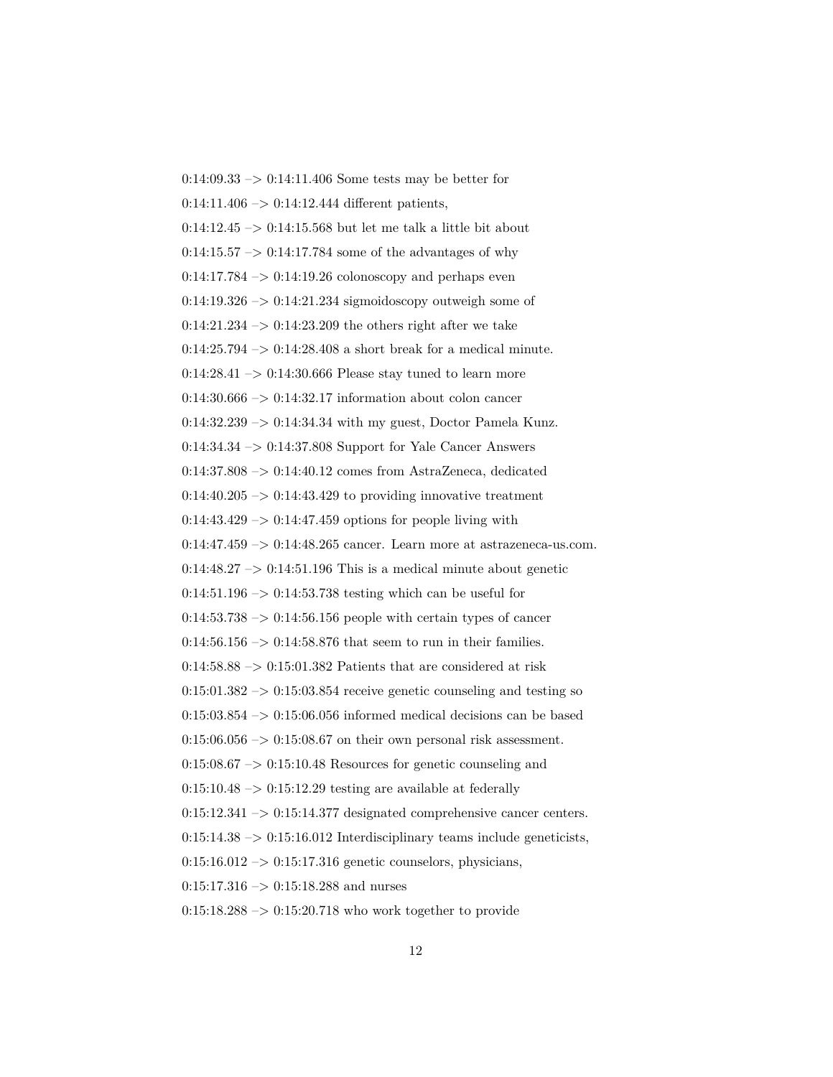0:14:09.33 –> 0:14:11.406 Some tests may be better for  $0:14:11.406 \rightarrow 0:14:12.444$  different patients,  $0:14:12.45 \rightarrow 0:14:15.568$  but let me talk a little bit about  $0:14:15.57 \rightarrow 0:14:17.784$  some of the advantages of why  $0:14:17.784 \rightarrow 0:14:19.26$  colonoscopy and perhaps even  $0.14:19.326 \rightarrow 0.14:21.234$  sigmoidoscopy outweigh some of  $0:14:21.234 \rightarrow 0:14:23.209$  the others right after we take  $0:14:25.794 \rightarrow 0:14:28.408$  a short break for a medical minute.  $0:14:28.41 \rightarrow 0:14:30.666$  Please stay tuned to learn more  $0.14:30.666 \rightarrow 0.14:32.17$  information about colon cancer  $0:14:32.239 \rightarrow 0:14:34.34$  with my guest, Doctor Pamela Kunz. 0:14:34.34 –> 0:14:37.808 Support for Yale Cancer Answers 0:14:37.808 –> 0:14:40.12 comes from AstraZeneca, dedicated  $0:14:40.205 \rightarrow 0:14:43.429$  to providing innovative treatment  $0:14:43.429 \rightarrow 0:14:47.459$  options for people living with  $0:14:47.459 \rightarrow 0:14:48.265$  cancer. Learn more at astrazeneca-us.com.  $0:14:48.27 \rightarrow 0:14:51.196$  This is a medical minute about genetic  $0:14:51.196 \rightarrow 0:14:53.738$  testing which can be useful for  $0.14:53.738 \rightarrow 0.14:56.156$  people with certain types of cancer  $0:14:56.156 \rightarrow 0:14:58.876$  that seem to run in their families.  $0:14:58.88 \rightarrow 0:15:01.382$  Patients that are considered at risk  $0:15:01.382 \rightarrow 0:15:03.854$  receive genetic counseling and testing so  $0:15:03.854 \rightarrow 0:15:06.056$  informed medical decisions can be based  $0:15:06.056 \rightarrow 0:15:08.67$  on their own personal risk assessment.  $0.15:08.67 \rightarrow 0.15:10.48$  Resources for genetic counseling and  $0:15:10.48 \rightarrow 0:15:12.29$  testing are available at federally  $0:15:12.341 \rightarrow 0:15:14.377$  designated comprehensive cancer centers.  $0:15:14.38 \rightarrow 0:15:16.012$  Interdisciplinary teams include geneticists,  $0.15:16.012 \rightarrow 0.15:17.316$  genetic counselors, physicians,  $0:15:17.316 \rightarrow 0:15:18.288$  and nurses  $0:15:18.288 \rightarrow 0:15:20.718$  who work together to provide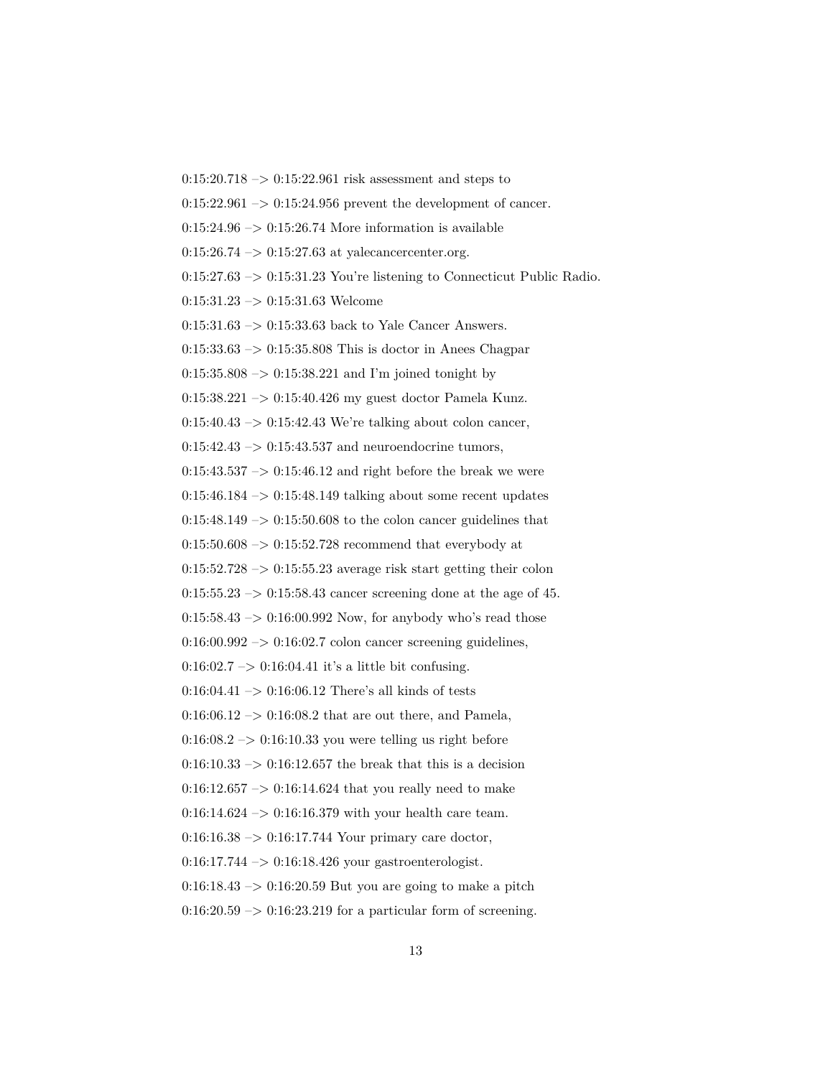$0:15:20.718 \rightarrow 0:15:22.961$  risk assessment and steps to  $0:15:22.961\rightarrow 0:15:24.956$  prevent the development of cancer.  $0:15:24.96 \rightarrow 0:15:26.74$  More information is available  $0:15:26.74 \rightarrow 0:15:27.63$  at valecancercenter.org.  $0:15:27.63 \rightarrow 0:15:31.23$  You're listening to Connecticut Public Radio. 0:15:31.23 –> 0:15:31.63 Welcome 0:15:31.63 –> 0:15:33.63 back to Yale Cancer Answers.  $0:15:33.63 \rightarrow 0:15:35.808$  This is doctor in Anees Chagpar 0:15:35.808 –> 0:15:38.221 and I'm joined tonight by 0:15:38.221 –> 0:15:40.426 my guest doctor Pamela Kunz.  $0:15:40.43 \rightarrow 0:15:42.43$  We're talking about colon cancer,  $0:15:42.43 \rightarrow 0:15:43.537$  and neuroendocrine tumors,  $0:15:43.537 \rightarrow 0:15:46.12$  and right before the break we were  $0:15:46.184 \rightarrow 0:15:48.149$  talking about some recent updates  $0:15:48.149 \rightarrow 0:15:50.608$  to the colon cancer guidelines that  $0:15:50.608 \rightarrow 0:15:52.728$  recommend that everybody at  $0:15:52.728 \rightarrow 0:15:55.23$  average risk start getting their colon  $0:15:55.23 \rightarrow 0:15:58.43$  cancer screening done at the age of 45.  $0:15:58.43 \rightarrow 0:16:00.992$  Now, for anybody who's read those  $0:16:00.992 \rightarrow 0:16:02.7$  colon cancer screening guidelines,  $0:16:02.7 \rightarrow 0:16:04.41$  it's a little bit confusing.  $0:16:04.41 \rightarrow 0:16:06.12$  There's all kinds of tests  $0:16:06.12 \rightarrow 0:16:08.2$  that are out there, and Pamela,  $0.16:08.2 \rightarrow 0.16:10.33$  you were telling us right before  $0:16:10.33 \rightarrow 0:16:12.657$  the break that this is a decision  $0:16:12.657 \rightarrow 0:16:14.624$  that you really need to make  $0:16:14.624 \rightarrow 0:16:16.379$  with your health care team.  $0:16:16.38 \rightarrow 0:16:17.744$  Your primary care doctor,  $0:16:17.744 \rightarrow 0:16:18.426$  your gastroenterologist.  $0.16:18.43 \rightarrow 0.16:20.59$  But you are going to make a pitch  $0:16:20.59 \rightarrow 0:16:23.219$  for a particular form of screening.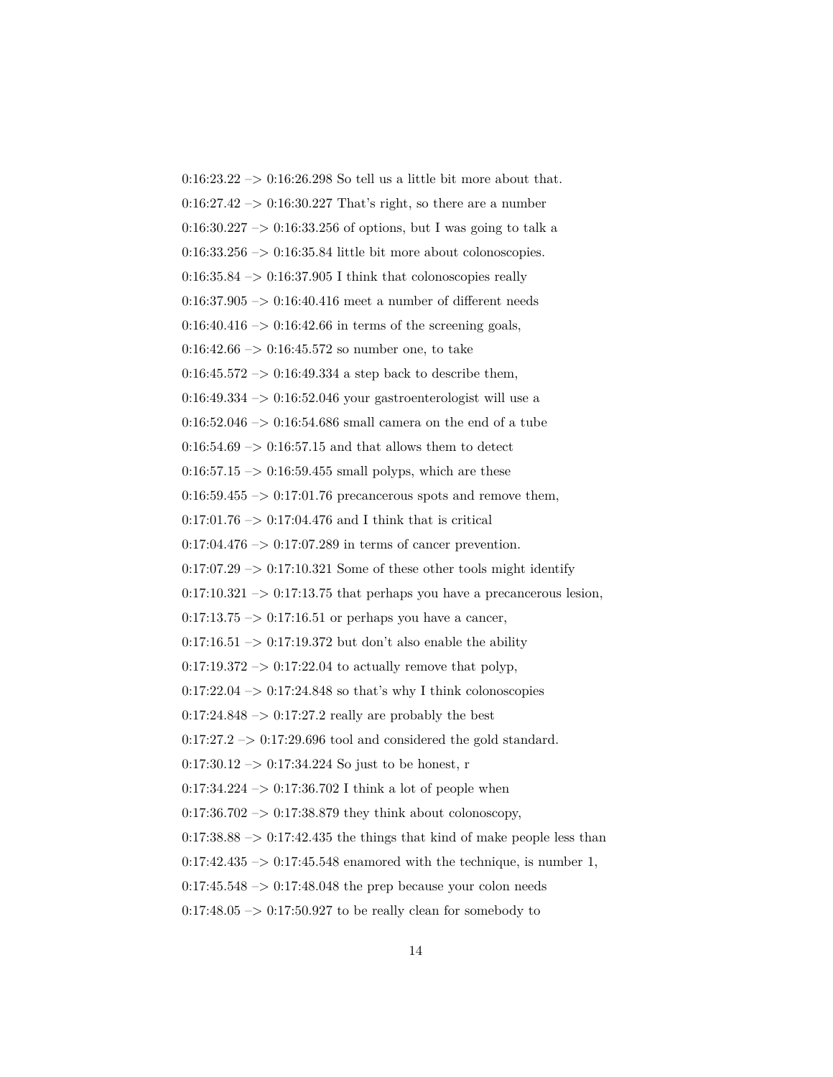$0:16:23.22 \rightarrow 0:16:26.298$  So tell us a little bit more about that.  $0:16:27.42 \rightarrow 0:16:30.227$  That's right, so there are a number 0:16:30.227 –> 0:16:33.256 of options, but I was going to talk a  $0:16:33.256 \rightarrow 0:16:35.84$  little bit more about colonoscopies.  $0:16:35.84 \rightarrow 0:16:37.905$  I think that colonoscopies really  $0:16:37.905 \rightarrow 0:16:40.416$  meet a number of different needs  $0:16:40.416 \rightarrow 0:16:42.66$  in terms of the screening goals,  $0:16:42.66 \rightarrow 0:16:45.572$  so number one, to take  $0:16:45.572 \rightarrow 0:16:49.334$  a step back to describe them,  $0.16:49.334 \rightarrow 0.16:52.046$  your gastroenterologist will use a  $0:16:52.046 \rightarrow 0:16:54.686$  small camera on the end of a tube  $0:16:54.69 \rightarrow 0:16:57.15$  and that allows them to detect  $0:16:57.15 \rightarrow 0:16:59.455$  small polyps, which are these  $0:16:59.455 \rightarrow 0:17:01.76$  precancerous spots and remove them,  $0:17:01.76 \rightarrow 0:17:04.476$  and I think that is critical  $0:17:04.476 \rightarrow 0:17:07.289$  in terms of cancer prevention.  $0:17:07.29 \rightarrow 0:17:10.321$  Some of these other tools might identify  $0:17:10.321 \rightarrow 0:17:13.75$  that perhaps you have a precancerous lesion,  $0:17:13.75 \rightarrow 0:17:16.51$  or perhaps you have a cancer,  $0:17:16.51 \rightarrow 0:17:19.372$  but don't also enable the ability  $0:17:19.372 \rightarrow 0:17:22.04$  to actually remove that polyp,  $0:17:22.04 \rightarrow 0:17:24.848$  so that's why I think colonoscopies  $0:17:24.848 \rightarrow 0:17:27.2$  really are probably the best  $0:17:27.2 \rightarrow 0:17:29.696$  tool and considered the gold standard.  $0:17:30.12 \rightarrow 0:17:34.224$  So just to be honest, r  $0:17:34.224 \rightarrow 0:17:36.702$  I think a lot of people when  $0:17:36.702 \rightarrow 0:17:38.879$  they think about colonoscopy,  $0:17:38.88 \rightarrow 0:17:42.435$  the things that kind of make people less than  $0:17:42.435 \rightarrow 0:17:45.548$  enamored with the technique, is number 1,  $0:17:45.548 \rightarrow 0:17:48.048$  the prep because your colon needs  $0:17:48.05 \rightarrow 0:17:50.927$  to be really clean for somebody to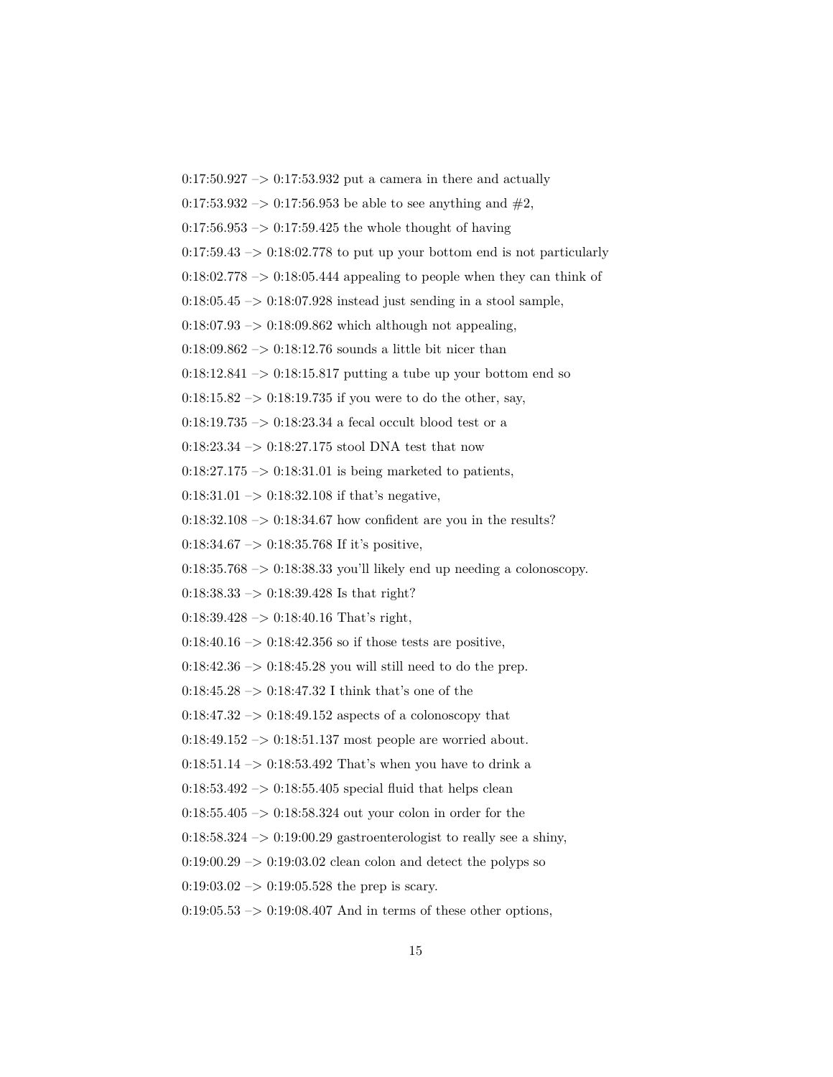$0:17:50.927 \rightarrow 0:17:53.932$  put a camera in there and actually 0:17:53.932 –> 0:17:56.953 be able to see anything and  $#2$ ,  $0.17:56.953 \rightarrow 0.17:59.425$  the whole thought of having  $0:17:59.43 \rightarrow 0:18:02.778$  to put up your bottom end is not particularly  $0:18:02.778 \rightarrow 0:18:05.444$  appealing to people when they can think of  $0:18:05.45 \rightarrow 0:18:07.928$  instead just sending in a stool sample,  $0:18:07.93 \rightarrow 0:18:09.862$  which although not appealing,  $0:18:09.862 \rightarrow 0:18:12.76$  sounds a little bit nicer than  $0:18:12.841 \rightarrow 0:18:15.817$  putting a tube up your bottom end so  $0.18:15.82 \rightarrow 0.18:19.735$  if you were to do the other, say, 0:18:19.735  $\rightarrow$  0:18:23.34 a fecal occult blood test or a 0:18:23.34  $\rightarrow$  0:18:27.175 stool DNA test that now  $0:18:27.175 \rightarrow 0:18:31.01$  is being marketed to patients,  $0:18:31.01 \rightarrow 0:18:32.108$  if that's negative,  $0:18:32.108 \rightarrow 0:18:34.67$  how confident are you in the results?  $0:18:34.67 \rightarrow 0:18:35.768$  If it's positive,  $0:18:35.768 \rightarrow 0:18:38.33$  you'll likely end up needing a colonoscopy.  $0:18:38.33 \rightarrow 0:18:39.428$  Is that right?  $0:18:39.428 \rightarrow 0:18:40.16$  That's right,  $0:18:40.16 \rightarrow 0:18:42.356$  so if those tests are positive,  $0:18:42.36 \rightarrow 0:18:45.28$  you will still need to do the prep. 0:18:45.28  $\rightarrow$  0:18:47.32 I think that's one of the  $0:18:47.32 \rightarrow 0:18:49.152$  aspects of a colonoscopy that  $0:18:49.152 \rightarrow 0:18:51.137$  most people are worried about.  $0.18:51.14 \rightarrow 0.18:53.492$  That's when you have to drink a  $0.18:53.492 \rightarrow 0.18:55.405$  special fluid that helps clean 0:18:55.405 –> 0:18:58.324 out your colon in order for the  $0:18:58.324 \rightarrow 0:19:00.29$  gastroenterologist to really see a shiny,  $0.19:00.29 \rightarrow 0.19:03.02$  clean colon and detect the polyps so  $0:19:03.02 \rightarrow 0:19:05.528$  the prep is scary.  $0:19:05.53 \rightarrow 0:19:08.407$  And in terms of these other options,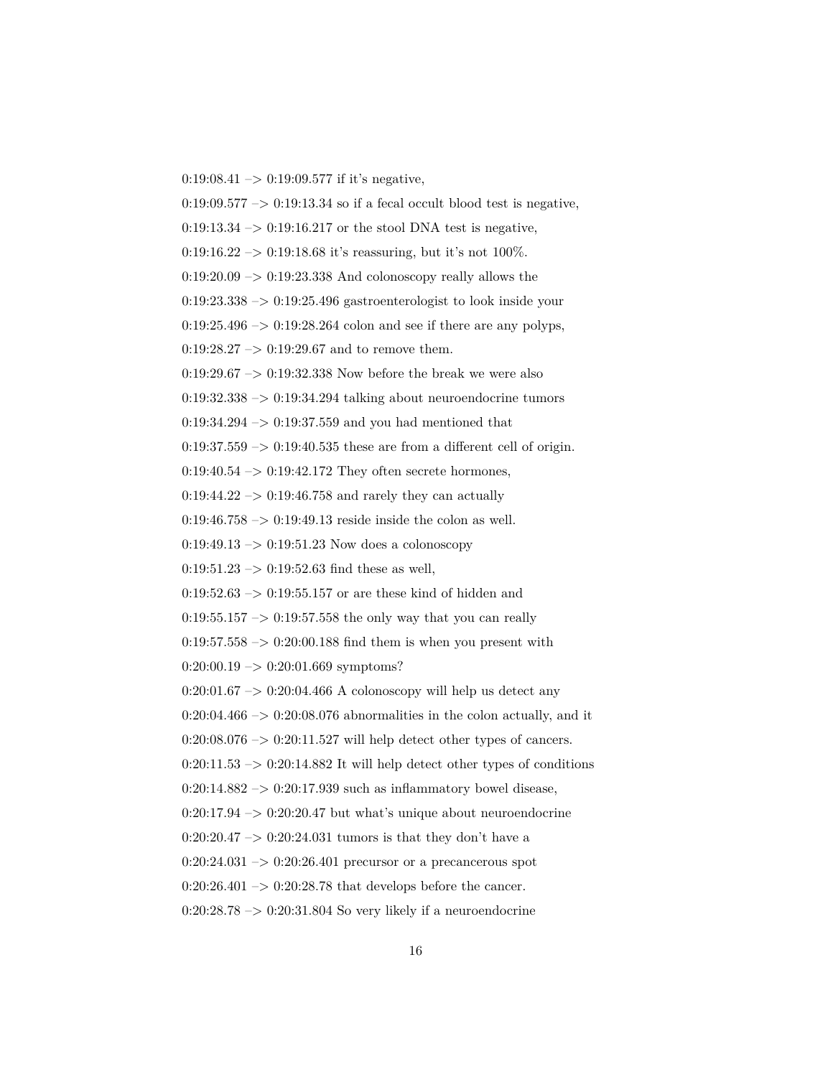$0:19:08.41 \rightarrow 0:19:09.577$  if it's negative,

 $0.19:09.577 \rightarrow 0.19:13.34$  so if a fecal occult blood test is negative,  $0:19:13.34 \rightarrow 0:19:16.217$  or the stool DNA test is negative,  $0:19:16.22 \rightarrow 0:19:18.68$  it's reassuring, but it's not 100%.  $0:19:20.09 \rightarrow 0:19:23.338$  And colonoscopy really allows the  $0:19:23.338 \rightarrow 0:19:25.496$  gastroenterologist to look inside your  $0:19:25.496 \rightarrow 0:19:28.264$  colon and see if there are any polyps,  $0:19:28.27 \rightarrow 0:19:29.67$  and to remove them.  $0:19:29.67 \rightarrow 0:19:32.338$  Now before the break we were also  $0:19:32.338 \rightarrow 0:19:34.294$  talking about neuroendocrine tumors  $0.19:34.294 \rightarrow 0.19:37.559$  and you had mentioned that  $0:19:37.559 \rightarrow 0:19:40.535$  these are from a different cell of origin.  $0:19:40.54 \rightarrow 0:19:42.172$  They often secrete hormones,  $0:19:44.22 \rightarrow 0:19:46.758$  and rarely they can actually  $0:19:46.758 \rightarrow 0:19:49.13$  reside inside the colon as well.  $0:19:49.13 \rightarrow 0:19:51.23$  Now does a colonoscopy  $0:19:51.23 \rightarrow 0:19:52.63$  find these as well,  $0:19:52.63 \rightarrow 0:19:55.157$  or are these kind of hidden and  $0.19:55.157 \rightarrow 0.19:57.558$  the only way that you can really  $0:19:57.558 \rightarrow 0:20:00.188$  find them is when you present with  $0:20:00.19 \rightarrow 0:20:01.669$  symptoms?  $0:20:01.67 \rightarrow 0:20:04.466$  A colonoscopy will help us detect any  $0:20:04.466 \rightarrow 0:20:08.076$  abnormalities in the colon actually, and it  $0:20:08.076 \rightarrow 0:20:11.527$  will help detect other types of cancers.  $0:20:11.53 \rightarrow 0:20:14.882$  It will help detect other types of conditions  $0:20:14.882 \rightarrow 0:20:17.939$  such as inflammatory bowel disease,  $0:20:17.94 \rightarrow 0:20:20.47$  but what's unique about neuroendocrine 0:20:20.47  $\rightarrow$  0:20:24.031 tumors is that they don't have a  $0:20:24.031 \rightarrow 0:20:26.401$  precursor or a precancerous spot  $0:20:26.401 \rightarrow 0:20:28.78$  that develops before the cancer.  $0:20:28.78 \rightarrow 0:20:31.804$  So very likely if a neuroendocrine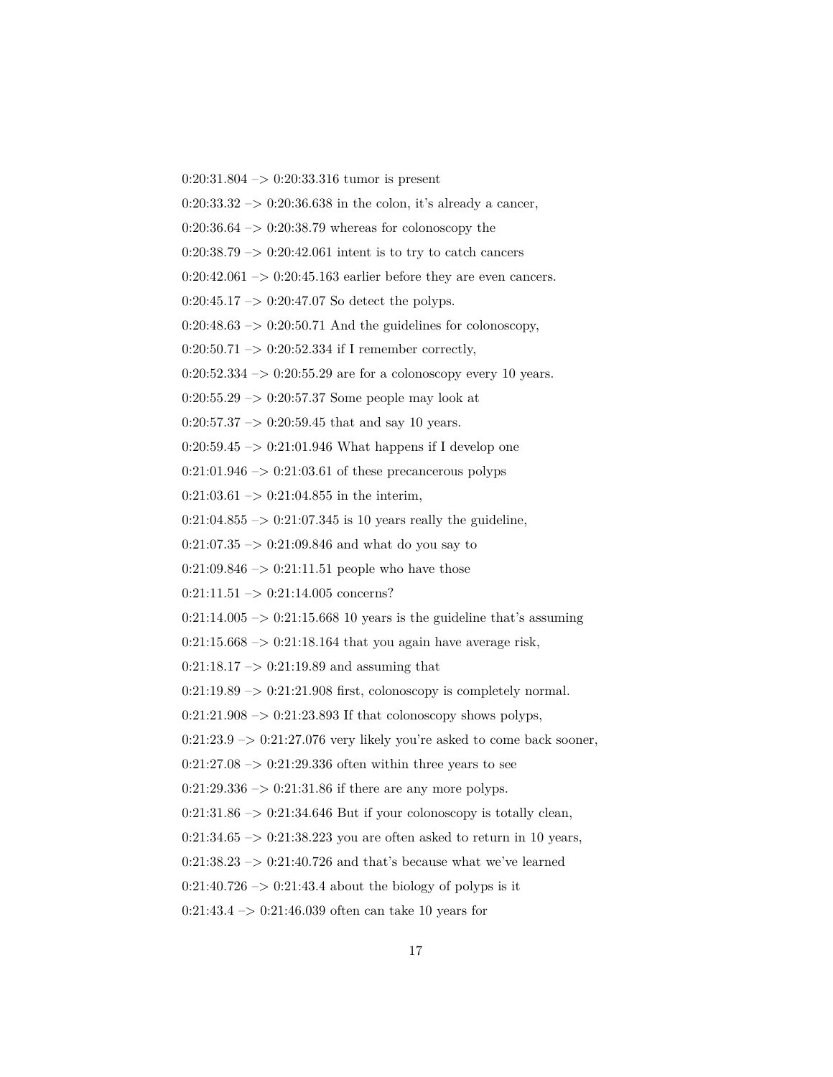$0:20:31.804 \rightarrow 0:20:33.316$  tumor is present

 $0:20:33.32 \rightarrow 0:20:36.638$  in the colon, it's already a cancer,

 $0:20:36.64 \rightarrow 0:20:38.79$  whereas for colonoscopy the

 $0:20:38.79 \rightarrow 0:20:42.061$  intent is to try to catch cancers

 $0:20:42.061 \rightarrow 0:20:45.163$  earlier before they are even cancers.

 $0:20:45.17 \rightarrow 0:20:47.07$  So detect the polyps.

 $0:20:48.63 \rightarrow 0:20:50.71$  And the guidelines for colonoscopy,

 $0:20:50.71 \rightarrow 0:20:52.334$  if I remember correctly,

 $0:20:52.334 \rightarrow 0:20:55.29$  are for a colonoscopy every 10 years.

 $0:20:55.29 \rightarrow 0:20:57.37$  Some people may look at

 $0:20:57.37 \rightarrow 0:20:59.45$  that and say 10 years.

0:20:59.45 –> 0:21:01.946 What happens if I develop one

 $0:21:01.946 \rightarrow 0:21:03.61$  of these precancerous polyps

 $0:21:03.61 \rightarrow 0:21:04.855$  in the interim,

 $0:21:04.855 \rightarrow 0:21:07.345$  is 10 years really the guideline,

 $0:21:07.35 \rightarrow 0:21:09.846$  and what do you say to

 $0:21:09.846 \rightarrow 0:21:11.51$  people who have those

 $0:21:11.51 \rightarrow 0:21:14.005$  concerns?

 $0:21:14.005 \rightarrow 0:21:15.668$  10 years is the guideline that's assuming

 $0:21:15.668 \rightarrow 0:21:18.164$  that you again have average risk,

 $0:21:18.17 \rightarrow 0:21:19.89$  and assuming that

 $0:21:19.89 \rightarrow 0:21:21.908$  first, colonoscopy is completely normal.

 $0:21:21.908 \rightarrow 0:21:23.893$  If that colonoscopy shows polyps,

 $0:21:23.9 \rightarrow 0:21:27.076$  very likely you're asked to come back sooner,

 $0:21:27.08 \rightarrow 0:21:29.336$  often within three years to see

 $0:21:29.336 \rightarrow 0:21:31.86$  if there are any more polyps.

 $0:21:31.86 \rightarrow 0:21:34.646$  But if your colonoscopy is totally clean,

 $0:21:34.65 \rightarrow 0:21:38.223$  you are often asked to return in 10 years,

 $0:21:38.23 \rightarrow 0:21:40.726$  and that's because what we've learned

 $0:21:40.726 \rightarrow 0:21:43.4$  about the biology of polyps is it

 $0:21:43.4 \rightarrow 0:21:46.039$  often can take 10 years for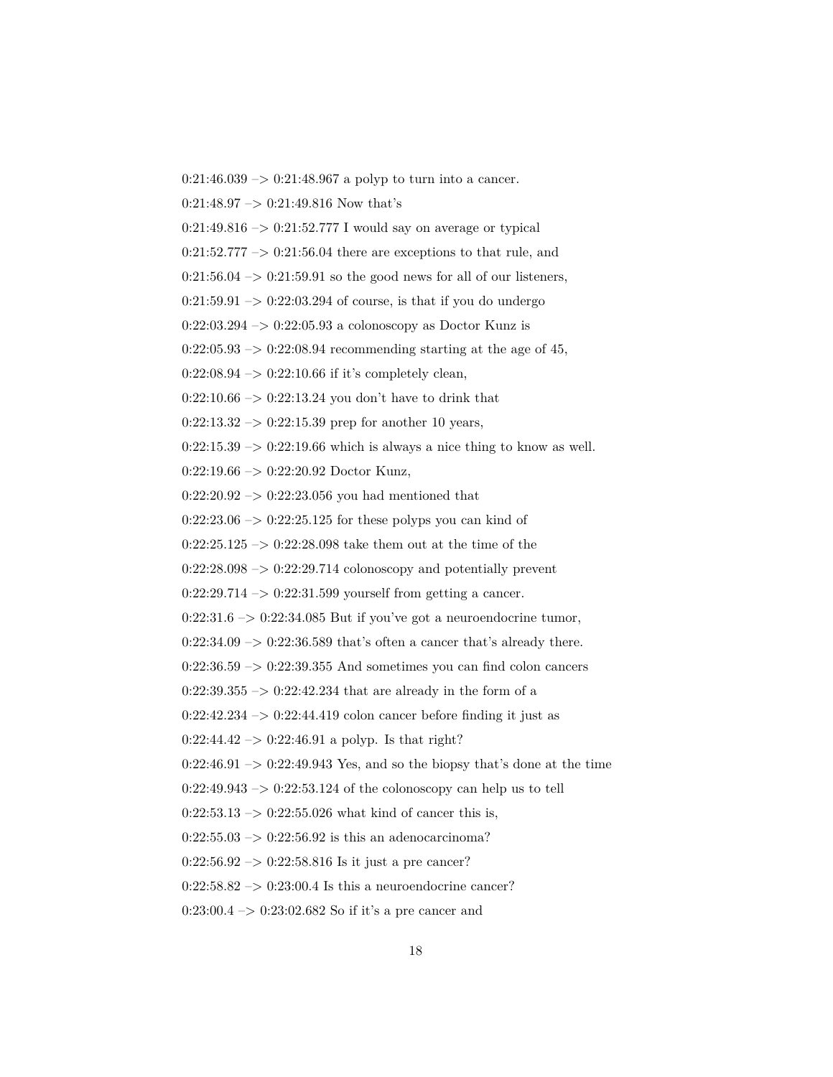$0:21:46.039 \rightarrow 0:21:48.967$  a polyp to turn into a cancer.

 $0:21:48.97 \rightarrow 0:21:49.816$  Now that's

 $0:21:49.816 \rightarrow 0:21:52.777$  I would say on average or typical

 $0:21:52.777 \rightarrow 0:21:56.04$  there are exceptions to that rule, and

 $0:21:56.04 \rightarrow 0:21:59.91$  so the good news for all of our listeners,

 $0:21:59.91 \rightarrow 0:22:03.294$  of course, is that if you do undergo

 $0:22:03.294 \rightarrow 0:22:05.93$  a colonoscopy as Doctor Kunz is

 $0:22:05.93 \rightarrow 0:22:08.94$  recommending starting at the age of 45,

 $0:22:08.94 \rightarrow 0:22:10.66$  if it's completely clean,

 $0:22:10.66 \rightarrow 0:22:13.24$  you don't have to drink that

 $0:22:13.32 \rightarrow 0:22:15.39$  prep for another 10 years,

 $0:22:15.39 \rightarrow 0:22:19.66$  which is always a nice thing to know as well.

0:22:19.66 –> 0:22:20.92 Doctor Kunz,

 $0:22:20.92 \rightarrow 0:22:23.056$  you had mentioned that

 $0:22:23.06 \rightarrow 0:22:25.125$  for these polyps you can kind of

 $0:22:25.125 \rightarrow 0:22:28.098$  take them out at the time of the

 $0:22:28.098 \rightarrow 0:22:29.714$  colonoscopy and potentially prevent

 $0:22:29.714 \rightarrow 0:22:31.599$  yourself from getting a cancer.

 $0:22:31.6 \rightarrow 0:22:34.085$  But if you've got a neuroendocrine tumor,

 $0:22:34.09 \rightarrow 0:22:36.589$  that's often a cancer that's already there.

 $0:22:36.59 \rightarrow 0:22:39.355$  And sometimes you can find colon cancers

 $0:22:39.355 \rightarrow 0:22:42.234$  that are already in the form of a

 $0:22:42.234 \rightarrow 0:22:44.419$  colon cancer before finding it just as

 $0:22:44.42 \rightarrow 0:22:46.91$  a polyp. Is that right?

 $0:22:46.91 \rightarrow 0:22:49.943$  Yes, and so the biopsy that's done at the time

 $0:22:49.943 \rightarrow 0:22:53.124$  of the colonoscopy can help us to tell

 $0:22:53.13 \rightarrow 0:22:55.026$  what kind of cancer this is,

 $0:22:55.03 \rightarrow 0:22:56.92$  is this an adenocarcinoma?

 $0:22:56.92 \rightarrow 0:22:58.816$  Is it just a pre cancer?

 $0:22:58.82 \rightarrow 0:23:00.4$  Is this a neuroendocrine cancer?

0:23:00.4 –> 0:23:02.682 So if it's a pre cancer and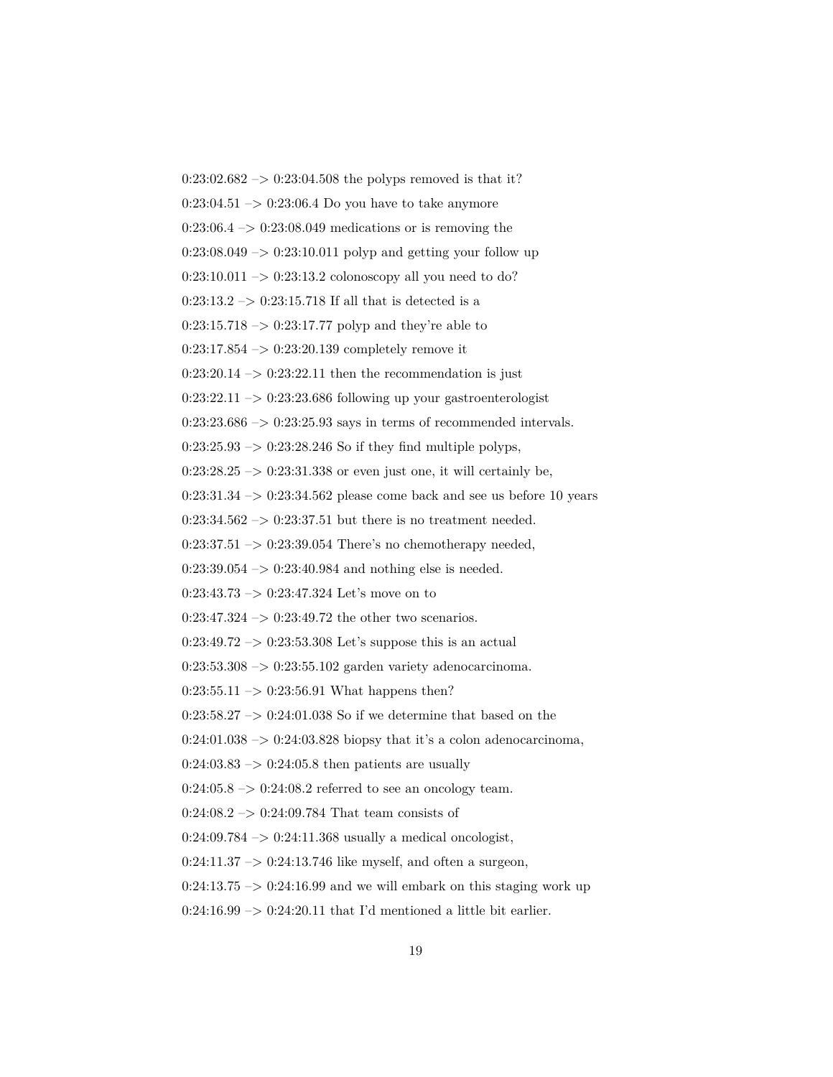$0:23:02.682 \rightarrow 0:23:04.508$  the polyps removed is that it?  $0:23:04.51 \rightarrow 0:23:06.4$  Do you have to take anymore  $0:23:06.4 \rightarrow 0:23:08.049$  medications or is removing the  $0:23:08.049 \rightarrow 0:23:10.011$  polyp and getting your follow up  $0:23:10.011 \rightarrow 0:23:13.2$  colonoscopy all you need to do?  $0:23:13.2 \rightarrow 0:23:15.718$  If all that is detected is a  $0:23:15.718 \rightarrow 0:23:17.77$  polyp and they're able to  $0:23:17.854 \rightarrow 0:23:20.139$  completely remove it  $0:23:20.14 \rightarrow 0:23:22.11$  then the recommendation is just  $0:23:22.11 \rightarrow 0:23:23.686$  following up your gastroenterologist  $0:23:23.686 \rightarrow 0:23:25.93$  says in terms of recommended intervals.  $0:23:25.93 \rightarrow 0:23:28.246$  So if they find multiple polyps,  $0:23:28.25 \rightarrow 0:23:31.338$  or even just one, it will certainly be,  $0:23:31.34 \rightarrow 0:23:34.562$  please come back and see us before 10 years  $0:23:34.562 \rightarrow 0:23:37.51$  but there is no treatment needed.  $0:23:37.51 \rightarrow 0:23:39.054$  There's no chemotherapy needed,  $0:23:39.054 \rightarrow 0:23:40.984$  and nothing else is needed.  $0:23:43.73 \rightarrow 0:23:47.324$  Let's move on to  $0:23:47.324 \rightarrow 0:23:49.72$  the other two scenarios.  $0:23:49.72 \rightarrow 0:23:53.308$  Let's suppose this is an actual 0:23:53.308 –> 0:23:55.102 garden variety adenocarcinoma.  $0:23:55.11 \rightarrow 0:23:56.91$  What happens then?  $0:23:58.27 \rightarrow 0:24:01.038$  So if we determine that based on the  $0:24:01.038 \rightarrow 0:24:03.828$  biopsy that it's a colon adenocarcinoma,  $0:24:03.83 \rightarrow 0:24:05.8$  then patients are usually  $0:24:05.8 \rightarrow 0:24:08.2$  referred to see an oncology team.  $0:24:08.2 \rightarrow 0:24:09.784$  That team consists of  $0:24:09.784 \rightarrow 0:24:11.368$  usually a medical oncologist,  $0:24:11.37 \rightarrow 0:24:13.746$  like myself, and often a surgeon,  $0:24:13.75 \rightarrow 0:24:16.99$  and we will embark on this staging work up

 $0:24:16.99 \rightarrow 0:24:20.11$  that I'd mentioned a little bit earlier.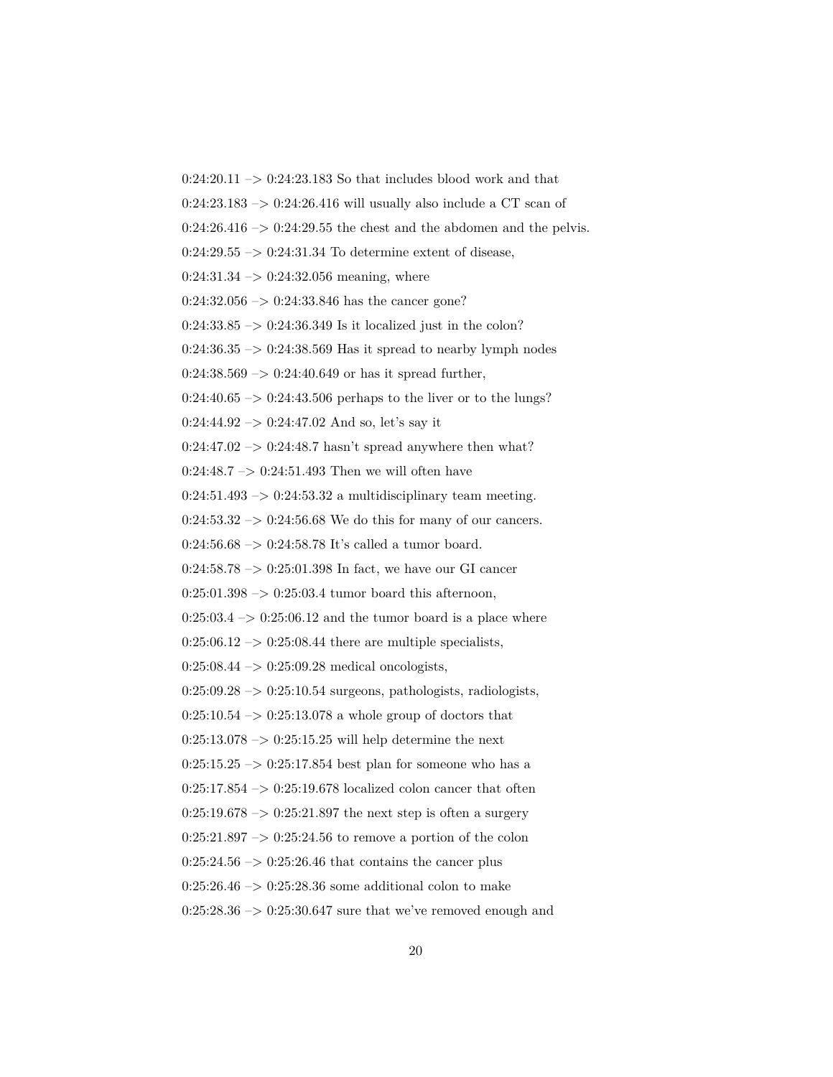$0:24:20.11 \rightarrow 0:24:23.183$  So that includes blood work and that

 $0:24:23.183 \rightarrow 0:24:26.416$  will usually also include a CT scan of

 $0:24:26.416 \rightarrow 0:24:29.55$  the chest and the abdomen and the pelvis.

 $0:24:29.55 \rightarrow 0:24:31.34$  To determine extent of disease,

 $0:24:31.34 \rightarrow 0:24:32.056$  meaning, where

 $0:24:32.056 \rightarrow 0:24:33.846$  has the cancer gone?

 $0:24:33.85 \rightarrow 0:24:36.349$  Is it localized just in the colon?

 $0:24:36.35 \rightarrow 0:24:38.569$  Has it spread to nearby lymph nodes

 $0:24:38.569 \rightarrow 0:24:40.649$  or has it spread further,

 $0:24:40.65 \rightarrow 0:24:43.506$  perhaps to the liver or to the lungs?

 $0:24:44.92 \rightarrow 0:24:47.02$  And so, let's say it

 $0:24:47.02 \rightarrow 0:24:48.7$  hasn't spread anywhere then what?

 $0:24:48.7 \rightarrow 0:24:51.493$  Then we will often have

 $0:24:51.493 \rightarrow 0:24:53.32$  a multidisciplinary team meeting.

 $0:24:53.32 \rightarrow 0:24:56.68$  We do this for many of our cancers.

 $0:24:56.68 \rightarrow 0:24:58.78$  It's called a tumor board.

0:24:58.78  $\rightarrow$  0:25:01.398 In fact, we have our GI cancer

 $0:25:01.398 \rightarrow 0:25:03.4$  tumor board this afternoon,

 $0:25:03.4 \rightarrow 0:25:06.12$  and the tumor board is a place where

 $0:25:06.12 \rightarrow 0:25:08.44$  there are multiple specialists,

 $0:25:08.44 \rightarrow 0:25:09.28$  medical oncologists,

 $0:25:09.28 \rightarrow 0:25:10.54$  surgeons, pathologists, radiologists,

 $0:25:10.54 \rightarrow 0:25:13.078$  a whole group of doctors that

 $0:25:13.078 \rightarrow 0:25:15.25$  will help determine the next

 $0:25:15.25 \rightarrow 0:25:17.854$  best plan for someone who has a

 $0:25:17.854 \rightarrow 0:25:19.678$  localized colon cancer that often

 $0:25:19.678 \rightarrow 0:25:21.897$  the next step is often a surgery

 $0:25:21.897 \rightarrow 0:25:24.56$  to remove a portion of the colon

 $0:25:24.56 \rightarrow 0:25:26.46$  that contains the cancer plus

 $0:25:26.46 \rightarrow 0:25:28.36$  some additional colon to make

 $0:25:28.36 \rightarrow 0:25:30.647$  sure that we've removed enough and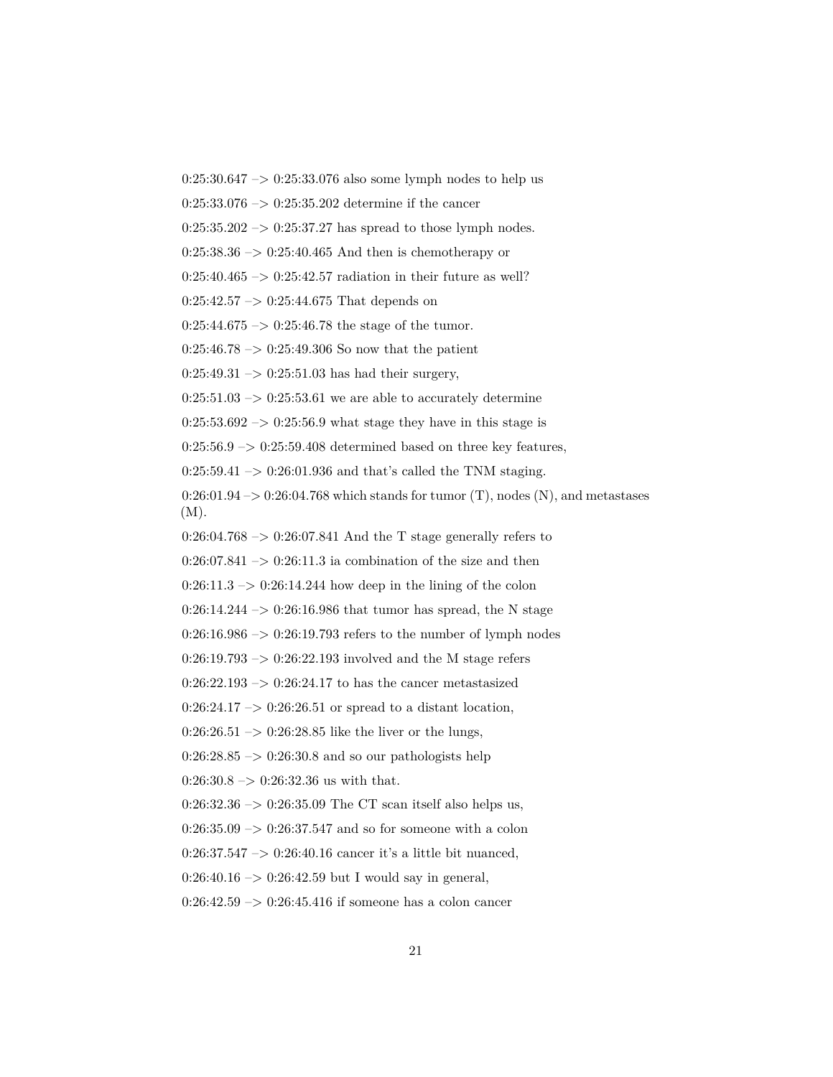$0:25:30.647 \rightarrow 0:25:33.076$  also some lymph nodes to help us

 $0:25:33.076 \rightarrow 0:25:35.202$  determine if the cancer

 $0:25:35.202 \rightarrow 0:25:37.27$  has spread to those lymph nodes.

 $0:25:38.36 \rightarrow 0:25:40.465$  And then is chemotherapy or

 $0:25:40.465 \rightarrow 0:25:42.57$  radiation in their future as well?

 $0:25:42.57 \rightarrow 0:25:44.675$  That depends on

 $0:25:44.675 \rightarrow 0:25:46.78$  the stage of the tumor.

 $0:25:46.78 \rightarrow 0:25:49.306$  So now that the patient

 $0:25:49.31 \rightarrow 0:25:51.03$  has had their surgery,

 $0:25:51.03 \rightarrow 0:25:53.61$  we are able to accurately determine

 $0:25:53.692 \rightarrow 0:25:56.9$  what stage they have in this stage is

 $0:25:56.9 \rightarrow 0:25:59.408$  determined based on three key features,

 $0:25:59.41 \rightarrow 0:26:01.936$  and that's called the TNM staging.

 $0:26:01.94 \rightarrow 0.26:04.768$  which stands for tumor (T), nodes (N), and metastases (M).

 $0:26:04.768 \rightarrow 0:26:07.841$  And the T stage generally refers to

 $0:26:07.841 \rightarrow 0:26:11.3$  ia combination of the size and then

 $0:26:11.3 \rightarrow 0:26:14.244$  how deep in the lining of the colon

0:26:14.244 – $> 0:26:16.986$  that tumor has spread, the N stage

 $0:26:16.986 \rightarrow 0:26:19.793$  refers to the number of lymph nodes

 $0:26:19.793 \rightarrow 0:26:22.193$  involved and the M stage refers

0:26:22.193  $\rightarrow$  0:26:24.17 to has the cancer metastasized

 $0:26:24.17 \rightarrow 0:26:26.51$  or spread to a distant location,

 $0:26:26.51 \rightarrow 0:26:28.85$  like the liver or the lungs,

 $0:26:28.85 \rightarrow 0:26:30.8$  and so our pathologists help

 $0:26:30.8 \rightarrow 0:26:32.36$  us with that.

 $0:26:32.36 \rightarrow 0:26:35.09$  The CT scan itself also helps us,

 $0:26:35.09 \rightarrow 0:26:37.547$  and so for someone with a colon

0:26:37.547  $\rightarrow$  0:26:40.16 cancer it's a little bit nuanced,

 $0:26:40.16 \rightarrow 0:26:42.59$  but I would say in general,

 $0:26:42.59 \rightarrow 0:26:45.416$  if someone has a colon cancer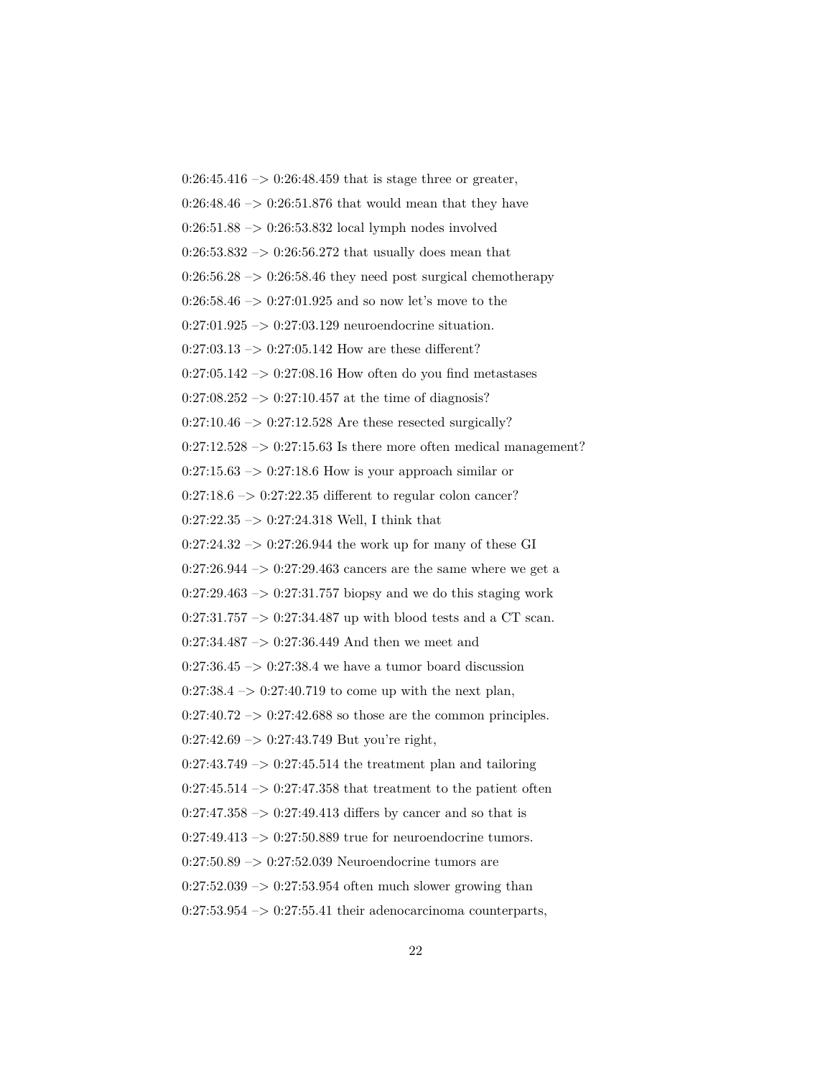$0:26:45.416 \rightarrow 0:26:48.459$  that is stage three or greater,  $0:26:48.46 \rightarrow 0:26:51.876$  that would mean that they have  $0:26:51.88 \rightarrow 0:26:53.832$  local lymph nodes involved  $0:26:53.832 \rightarrow 0:26:56.272$  that usually does mean that  $0:26:56.28 \rightarrow 0:26:58.46$  they need post surgical chemotherapy  $0:26:58.46 \rightarrow 0:27:01.925$  and so now let's move to the  $0:27:01.925 \rightarrow 0:27:03.129$  neuroendocrine situation.  $0:27:03.13 \rightarrow 0:27:05.142$  How are these different?  $0:27:05.142 \rightarrow 0:27:08.16$  How often do you find metastases  $0:27:08.252 \rightarrow 0:27:10.457$  at the time of diagnosis?  $0:27:10.46 \rightarrow 0:27:12.528$  Are these resected surgically?  $0:27:12.528 \rightarrow 0:27:15.63$  Is there more often medical management?  $0:27:15.63 \rightarrow 0:27:18.6$  How is your approach similar or  $0:27:18.6 \rightarrow 0:27:22.35$  different to regular colon cancer?  $0:27:22.35 \rightarrow 0:27:24.318$  Well, I think that  $0:27:24.32 \rightarrow 0:27:26.944$  the work up for many of these GI  $0:27:26.944 \rightarrow 0:27:29.463$  cancers are the same where we get a  $0:27:29.463 \rightarrow 0:27:31.757$  biopsy and we do this staging work  $0:27:31.757 \rightarrow 0:27:34.487$  up with blood tests and a CT scan.  $0:27:34.487 \rightarrow 0:27:36.449$  And then we meet and  $0:27:36.45 \rightarrow 0:27:38.4$  we have a tumor board discussion  $0:27:38.4 \rightarrow 0:27:40.719$  to come up with the next plan,  $0:27:40.72 \rightarrow 0:27:42.688$  so those are the common principles.  $0:27:42.69 \rightarrow 0:27:43.749$  But you're right,  $0:27:43.749 \rightarrow 0:27:45.514$  the treatment plan and tailoring  $0:27:45.514 \rightarrow 0:27:47.358$  that treatment to the patient often  $0:27:47.358 \rightarrow 0:27:49.413$  differs by cancer and so that is  $0:27:49.413 \rightarrow 0:27:50.889$  true for neuroendocrine tumors.  $0:27:50.89 \rightarrow 0:27:52.039$  Neuroendocrine tumors are  $0:27:52.039 \rightarrow 0:27:53.954$  often much slower growing than  $0:27:53.954 \rightarrow 0:27:55.41$  their adenocarcinoma counterparts,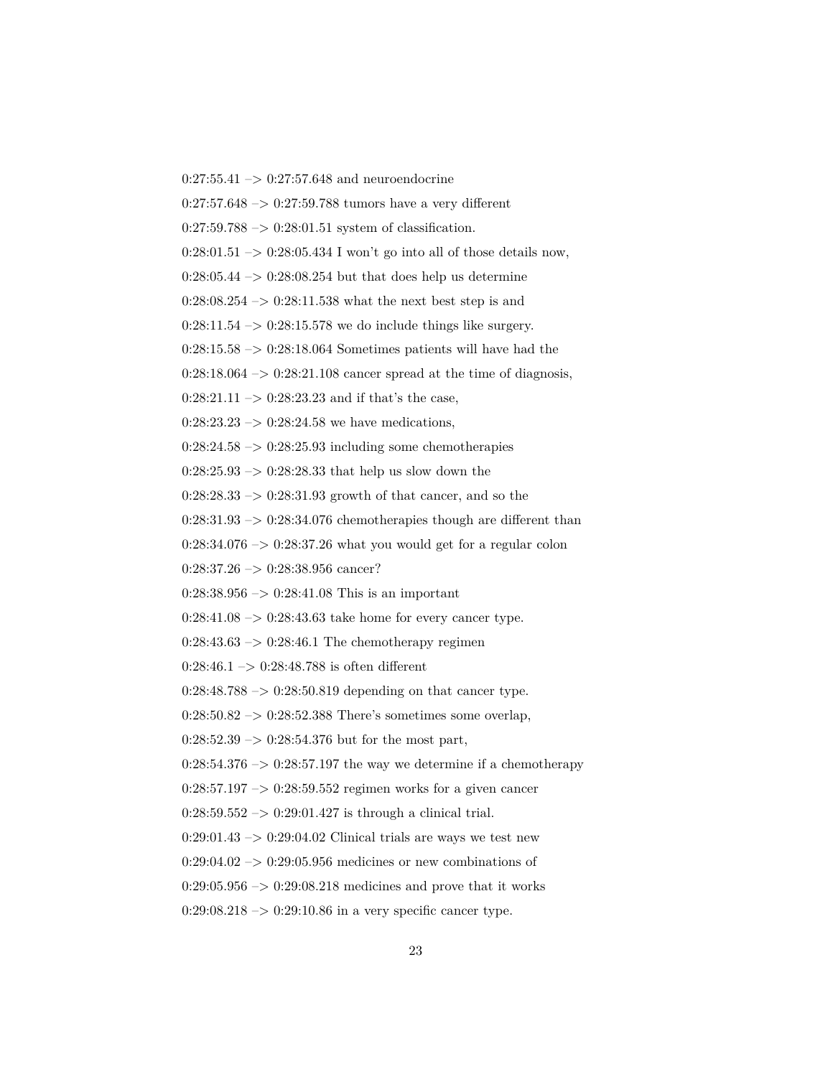$0:27:55.41 \rightarrow 0:27:57.648$  and neuroendocrine

 $0:27:57.648 \rightarrow 0:27:59.788$  tumors have a very different

 $0:27:59.788 \rightarrow 0:28:01.51$  system of classification.

 $0:28:01.51 \rightarrow 0:28:05.434$  I won't go into all of those details now,

 $0:28:05.44 \rightarrow 0:28:08.254$  but that does help us determine

 $0:28:08.254 \rightarrow 0:28:11.538$  what the next best step is and

 $0:28:11.54 \rightarrow 0:28:15.578$  we do include things like surgery.

 $0:28:15.58 \rightarrow 0:28:18.064$  Sometimes patients will have had the

 $0:28:18.064 \rightarrow 0:28:21.108$  cancer spread at the time of diagnosis,

 $0:28:21.11 \rightarrow 0:28:23.23$  and if that's the case,

 $0:28:23.23 \rightarrow 0:28:24.58$  we have medications,

 $0:28:24.58 \rightarrow 0:28:25.93$  including some chemotherapies

 $0:28:25.93 \rightarrow 0:28:28.33$  that help us slow down the

 $0:28:28.33 \rightarrow 0:28:31.93$  growth of that cancer, and so the

 $0:28:31.93 \rightarrow 0:28:34.076$  chemotherapies though are different than

 $0:28:34.076 \rightarrow 0:28:37.26$  what you would get for a regular colon

 $0:28:37.26 \rightarrow 0:28:38.956 \text{ cancer?}$ 

 $0:28:38.956 \rightarrow 0:28:41.08$  This is an important

 $0:28:41.08 \rightarrow 0:28:43.63$  take home for every cancer type.

 $0:28:43.63 \rightarrow 0:28:46.1$  The chemotherapy regimen

 $0:28:46.1 \rightarrow 0:28:48.788$  is often different

 $0:28:48.788 \rightarrow 0:28:50.819$  depending on that cancer type.

 $0:28:50.82 \rightarrow 0:28:52.388$  There's sometimes some overlap,

 $0:28:52.39 \rightarrow 0:28:54.376$  but for the most part,

 $0:28:54.376 \rightarrow 0:28:57.197$  the way we determine if a chemotherapy

 $0:28:57.197 \rightarrow 0:28:59.552$  regimen works for a given cancer

 $0:28:59.552 \rightarrow 0:29:01.427$  is through a clinical trial.

 $0:29:01.43 \rightarrow 0:29:04.02$  Clinical trials are ways we test new

 $0:29:04.02 \rightarrow 0:29:05.956$  medicines or new combinations of

 $0:29:05.956 \rightarrow 0:29:08.218$  medicines and prove that it works

 $0:29:08.218 \rightarrow 0:29:10.86$  in a very specific cancer type.